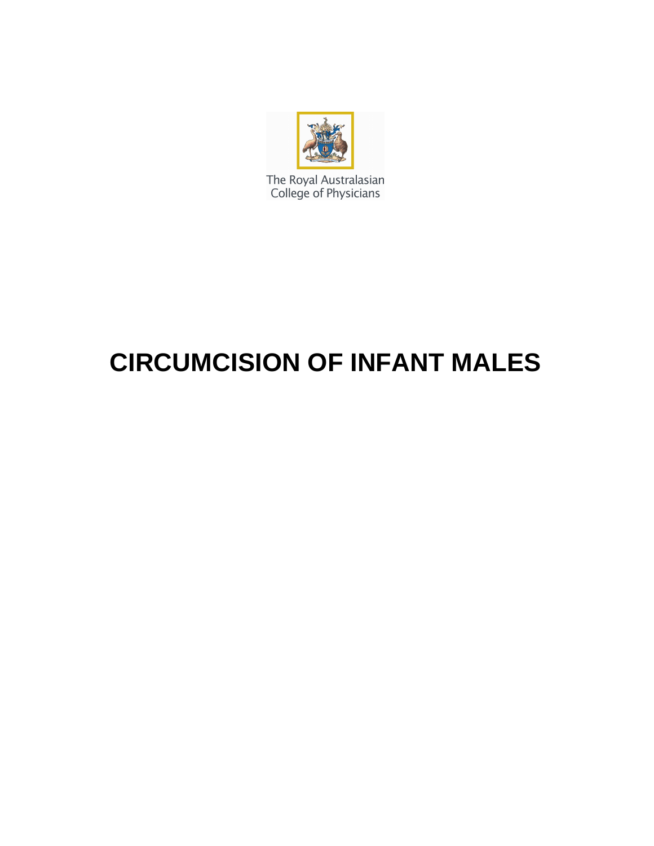

The Royal Australasian<br>College of Physicians

# **CIRCUMCISION OF INFANT MALES**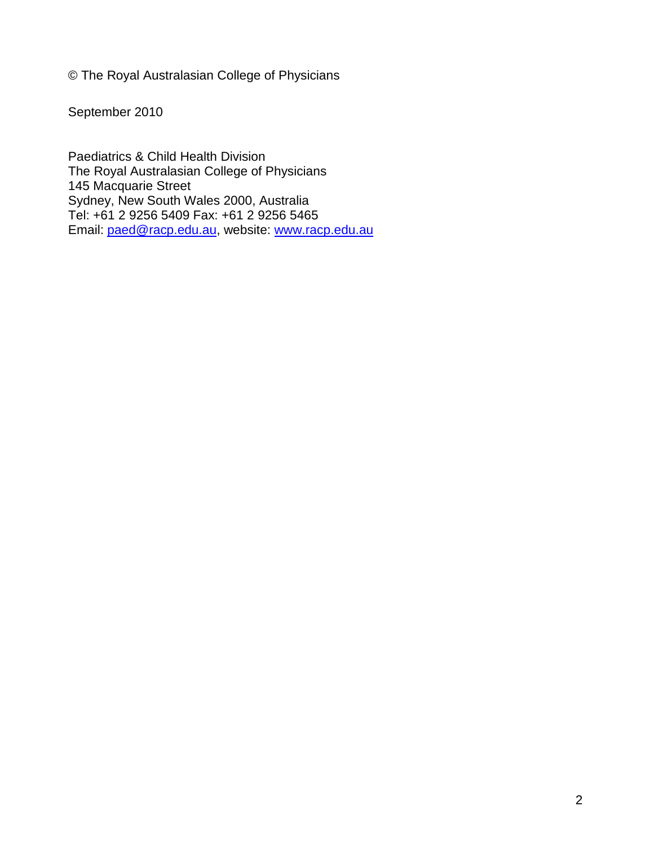© The Royal Australasian College of Physicians

September 2010

Paediatrics & Child Health Division The Royal Australasian College of Physicians 145 Macquarie Street Sydney, New South Wales 2000, Australia Tel: +61 2 9256 5409 Fax: +61 2 9256 5465 Email: paed@racp.edu.au, website: www.racp.edu.au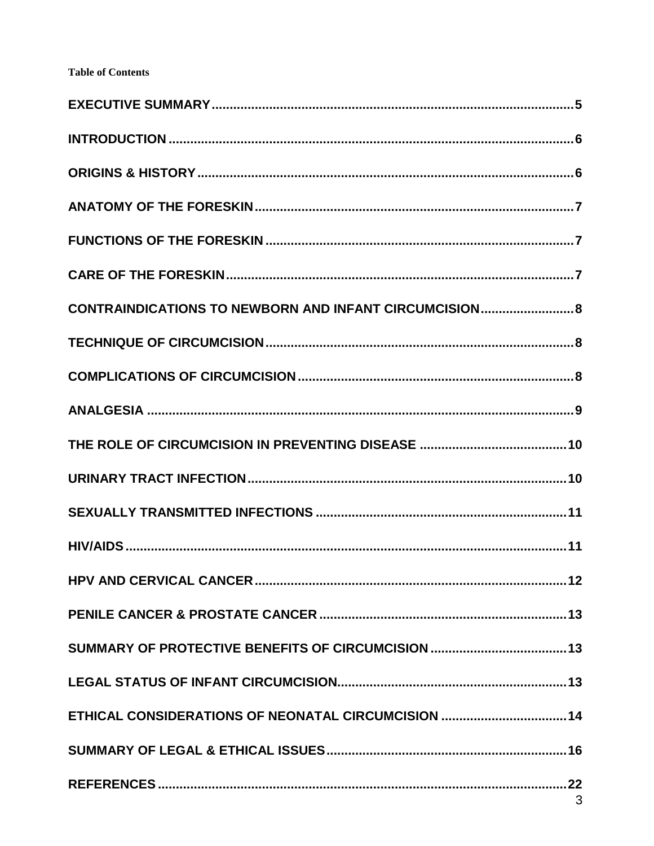#### **Table of Contents**

| CONTRAINDICATIONS TO NEWBORN AND INFANT CIRCUMCISION 8 |  |
|--------------------------------------------------------|--|
|                                                        |  |
|                                                        |  |
|                                                        |  |
|                                                        |  |
|                                                        |  |
|                                                        |  |
|                                                        |  |
|                                                        |  |
|                                                        |  |
|                                                        |  |
|                                                        |  |
| ETHICAL CONSIDERATIONS OF NEONATAL CIRCUMCISION  14    |  |
|                                                        |  |
|                                                        |  |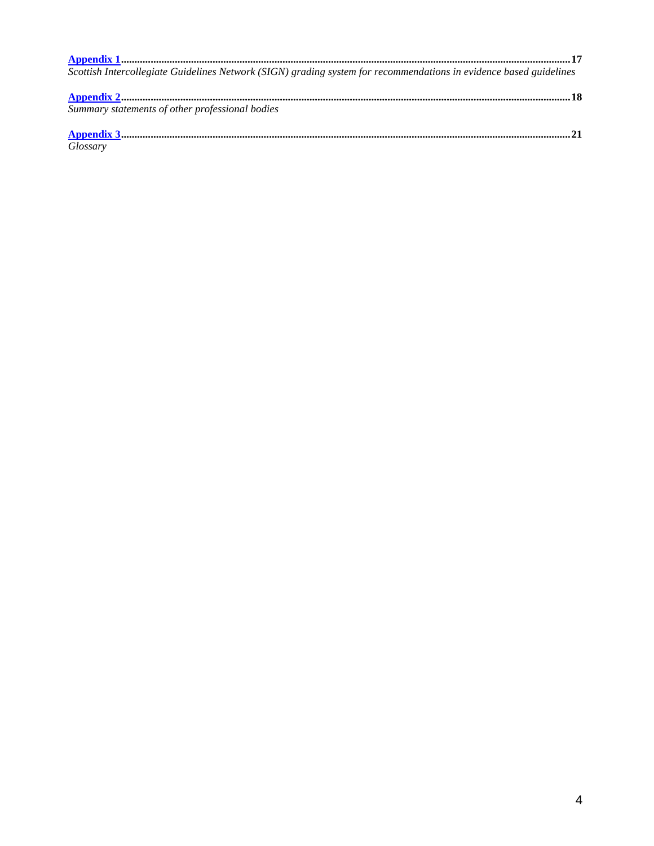| Scottish Intercollegiate Guidelines Network (SIGN) grading system for recommendations in evidence based guidelines |  |
|--------------------------------------------------------------------------------------------------------------------|--|
|                                                                                                                    |  |
| Summary statements of other professional bodies                                                                    |  |
|                                                                                                                    |  |

Glossary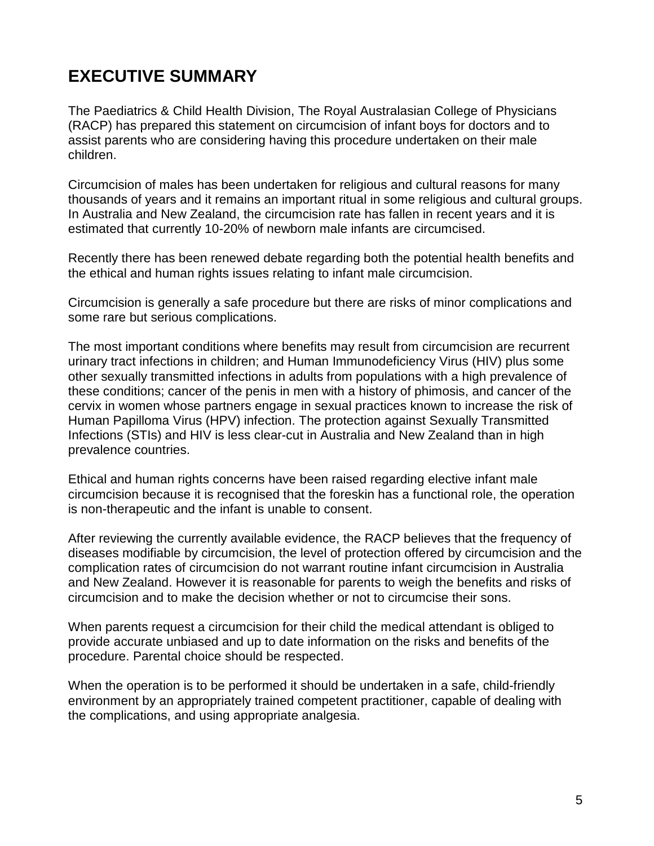## **EXECUTIVE SUMMARY**

The Paediatrics & Child Health Division, The Royal Australasian College of Physicians (RACP) has prepared this statement on circumcision of infant boys for doctors and to assist parents who are considering having this procedure undertaken on their male children.

Circumcision of males has been undertaken for religious and cultural reasons for many thousands of years and it remains an important ritual in some religious and cultural groups. In Australia and New Zealand, the circumcision rate has fallen in recent years and it is estimated that currently 10-20% of newborn male infants are circumcised.

Recently there has been renewed debate regarding both the potential health benefits and the ethical and human rights issues relating to infant male circumcision.

Circumcision is generally a safe procedure but there are risks of minor complications and some rare but serious complications.

The most important conditions where benefits may result from circumcision are recurrent urinary tract infections in children; and Human Immunodeficiency Virus (HIV) plus some other sexually transmitted infections in adults from populations with a high prevalence of these conditions; cancer of the penis in men with a history of phimosis, and cancer of the cervix in women whose partners engage in sexual practices known to increase the risk of Human Papilloma Virus (HPV) infection. The protection against Sexually Transmitted Infections (STIs) and HIV is less clear-cut in Australia and New Zealand than in high prevalence countries.

Ethical and human rights concerns have been raised regarding elective infant male circumcision because it is recognised that the foreskin has a functional role, the operation is non-therapeutic and the infant is unable to consent.

After reviewing the currently available evidence, the RACP believes that the frequency of diseases modifiable by circumcision, the level of protection offered by circumcision and the complication rates of circumcision do not warrant routine infant circumcision in Australia and New Zealand. However it is reasonable for parents to weigh the benefits and risks of circumcision and to make the decision whether or not to circumcise their sons.

When parents request a circumcision for their child the medical attendant is obliged to provide accurate unbiased and up to date information on the risks and benefits of the procedure. Parental choice should be respected.

When the operation is to be performed it should be undertaken in a safe, child-friendly environment by an appropriately trained competent practitioner, capable of dealing with the complications, and using appropriate analgesia.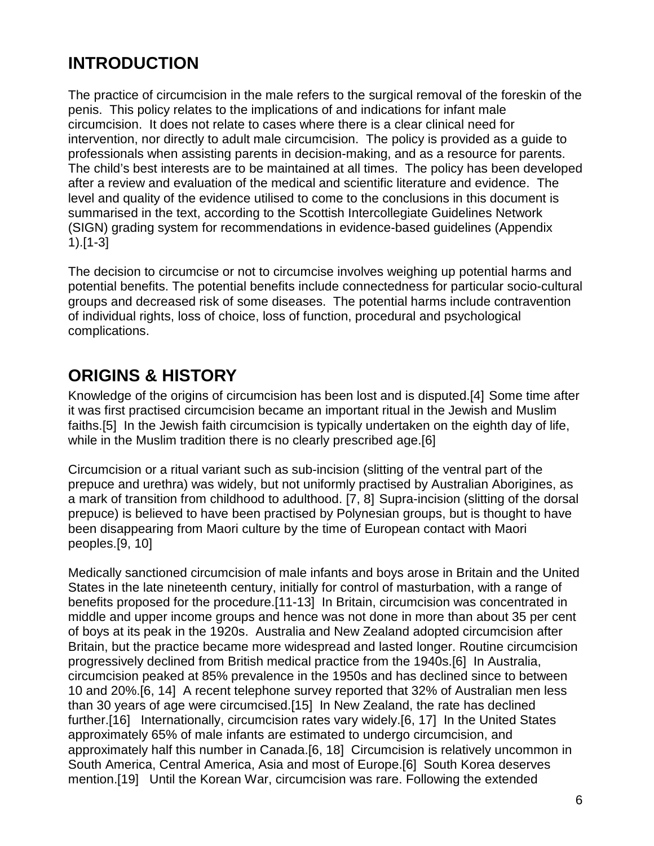# **INTRODUCTION**

The practice of circumcision in the male refers to the surgical removal of the foreskin of the penis. This policy relates to the implications of and indications for infant male circumcision. It does not relate to cases where there is a clear clinical need for intervention, nor directly to adult male circumcision. The policy is provided as a guide to professionals when assisting parents in decision-making, and as a resource for parents. The child's best interests are to be maintained at all times. The policy has been developed after a review and evaluation of the medical and scientific literature and evidence. The level and quality of the evidence utilised to come to the conclusions in this document is summarised in the text, according to the Scottish Intercollegiate Guidelines Network (SIGN) grading system for recommendations in evidence-based guidelines (Appendix 1).[1-3]

The decision to circumcise or not to circumcise involves weighing up potential harms and potential benefits. The potential benefits include connectedness for particular socio-cultural groups and decreased risk of some diseases. The potential harms include contravention of individual rights, loss of choice, loss of function, procedural and psychological complications.

## **ORIGINS & HISTORY**

Knowledge of the origins of circumcision has been lost and is disputed.[4] Some time after it was first practised circumcision became an important ritual in the Jewish and Muslim faiths.[5] In the Jewish faith circumcision is typically undertaken on the eighth day of life, while in the Muslim tradition there is no clearly prescribed age.[6]

Circumcision or a ritual variant such as sub-incision (slitting of the ventral part of the prepuce and urethra) was widely, but not uniformly practised by Australian Aborigines, as a mark of transition from childhood to adulthood. [7, 8] Supra-incision (slitting of the dorsal prepuce) is believed to have been practised by Polynesian groups, but is thought to have been disappearing from Maori culture by the time of European contact with Maori peoples.[9, 10]

Medically sanctioned circumcision of male infants and boys arose in Britain and the United States in the late nineteenth century, initially for control of masturbation, with a range of benefits proposed for the procedure.[11-13] In Britain, circumcision was concentrated in middle and upper income groups and hence was not done in more than about 35 per cent of boys at its peak in the 1920s. Australia and New Zealand adopted circumcision after Britain, but the practice became more widespread and lasted longer. Routine circumcision progressively declined from British medical practice from the 1940s.[6] In Australia, circumcision peaked at 85% prevalence in the 1950s and has declined since to between 10 and 20%.[6, 14] A recent telephone survey reported that 32% of Australian men less than 30 years of age were circumcised.[15] In New Zealand, the rate has declined further.[16] Internationally, circumcision rates vary widely.[6, 17] In the United States approximately 65% of male infants are estimated to undergo circumcision, and approximately half this number in Canada.[6, 18] Circumcision is relatively uncommon in South America, Central America, Asia and most of Europe.[6] South Korea deserves mention.[19] Until the Korean War, circumcision was rare. Following the extended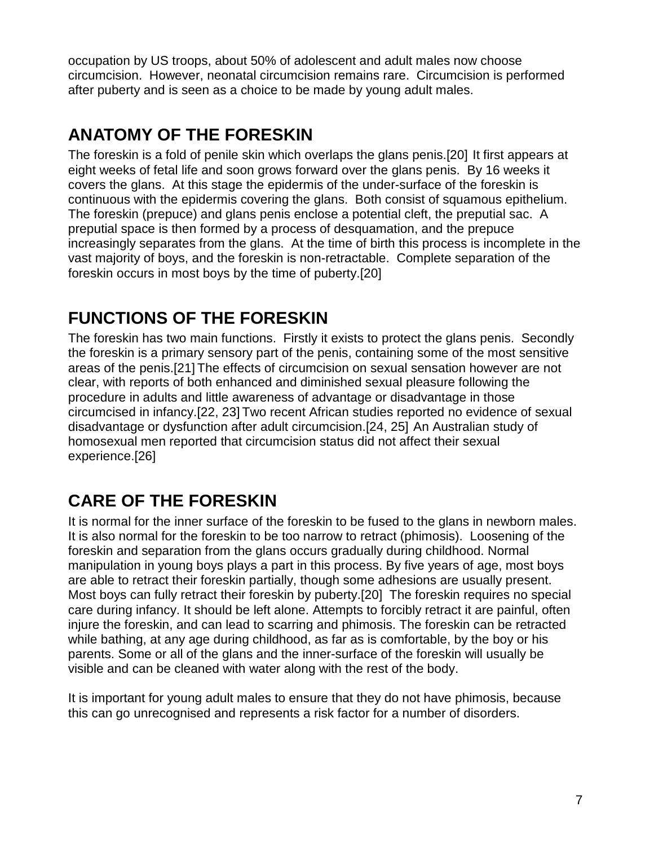occupation by US troops, about 50% of adolescent and adult males now choose circumcision. However, neonatal circumcision remains rare. Circumcision is performed after puberty and is seen as a choice to be made by young adult males.

# **ANATOMY OF THE FORESKIN**

The foreskin is a fold of penile skin which overlaps the glans penis.[20] It first appears at eight weeks of fetal life and soon grows forward over the glans penis. By 16 weeks it covers the glans. At this stage the epidermis of the under-surface of the foreskin is continuous with the epidermis covering the glans. Both consist of squamous epithelium. The foreskin (prepuce) and glans penis enclose a potential cleft, the preputial sac. A preputial space is then formed by a process of desquamation, and the prepuce increasingly separates from the glans. At the time of birth this process is incomplete in the vast majority of boys, and the foreskin is non-retractable. Complete separation of the foreskin occurs in most boys by the time of puberty.[20]

## **FUNCTIONS OF THE FORESKIN**

The foreskin has two main functions. Firstly it exists to protect the glans penis. Secondly the foreskin is a primary sensory part of the penis, containing some of the most sensitive areas of the penis.[21] The effects of circumcision on sexual sensation however are not clear, with reports of both enhanced and diminished sexual pleasure following the procedure in adults and little awareness of advantage or disadvantage in those circumcised in infancy.[22, 23] Two recent African studies reported no evidence of sexual disadvantage or dysfunction after adult circumcision.[24, 25] An Australian study of homosexual men reported that circumcision status did not affect their sexual experience.[26]

# **CARE OF THE FORESKIN**

It is normal for the inner surface of the foreskin to be fused to the glans in newborn males. It is also normal for the foreskin to be too narrow to retract (phimosis). Loosening of the foreskin and separation from the glans occurs gradually during childhood. Normal manipulation in young boys plays a part in this process. By five years of age, most boys are able to retract their foreskin partially, though some adhesions are usually present. Most boys can fully retract their foreskin by puberty.[20] The foreskin requires no special care during infancy. It should be left alone. Attempts to forcibly retract it are painful, often injure the foreskin, and can lead to scarring and phimosis. The foreskin can be retracted while bathing, at any age during childhood, as far as is comfortable, by the boy or his parents. Some or all of the glans and the inner-surface of the foreskin will usually be visible and can be cleaned with water along with the rest of the body.

It is important for young adult males to ensure that they do not have phimosis, because this can go unrecognised and represents a risk factor for a number of disorders.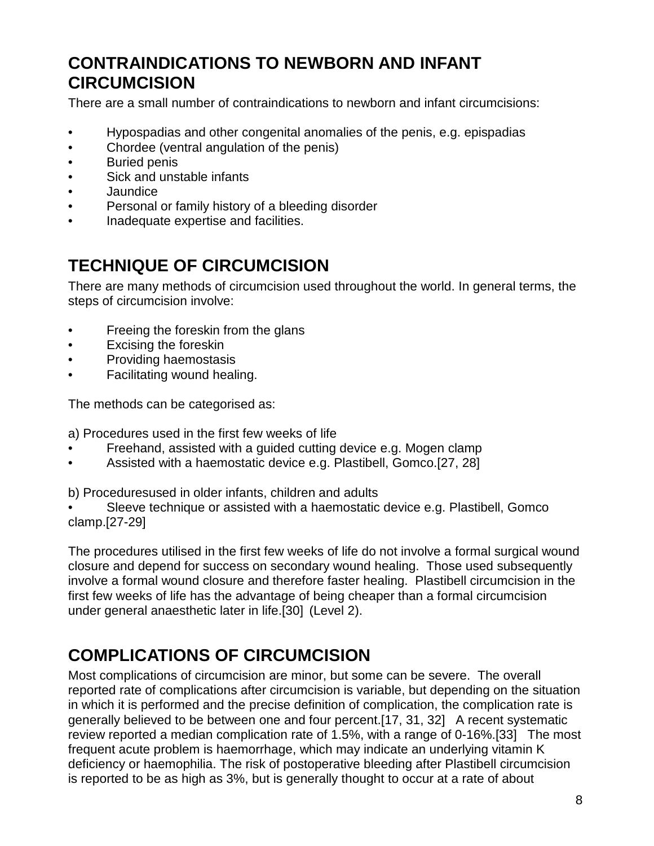## **CONTRAINDICATIONS TO NEWBORN AND INFANT CIRCUMCISION**

There are a small number of contraindications to newborn and infant circumcisions:

- Hypospadias and other congenital anomalies of the penis, e.g. epispadias
- Chordee (ventral angulation of the penis)
- Buried penis
- Sick and unstable infants
- Jaundice
- Personal or family history of a bleeding disorder
- Inadequate expertise and facilities.

## **TECHNIQUE OF CIRCUMCISION**

There are many methods of circumcision used throughout the world. In general terms, the steps of circumcision involve:

- Freeing the foreskin from the glans
- Excising the foreskin
- Providing haemostasis
- Facilitating wound healing.

The methods can be categorised as:

a) Procedures used in the first few weeks of life

- Freehand, assisted with a guided cutting device e.g. Mogen clamp
- Assisted with a haemostatic device e.g. Plastibell, Gomco.[27, 28]

b) Proceduresused in older infants, children and adults

Sleeve technique or assisted with a haemostatic device e.g. Plastibell, Gomco clamp.[27-29]

The procedures utilised in the first few weeks of life do not involve a formal surgical wound closure and depend for success on secondary wound healing. Those used subsequently involve a formal wound closure and therefore faster healing. Plastibell circumcision in the first few weeks of life has the advantage of being cheaper than a formal circumcision under general anaesthetic later in life.[30] (Level 2).

# **COMPLICATIONS OF CIRCUMCISION**

Most complications of circumcision are minor, but some can be severe. The overall reported rate of complications after circumcision is variable, but depending on the situation in which it is performed and the precise definition of complication, the complication rate is generally believed to be between one and four percent.[17, 31, 32] A recent systematic review reported a median complication rate of 1.5%, with a range of 0-16%.[33] The most frequent acute problem is haemorrhage, which may indicate an underlying vitamin K deficiency or haemophilia. The risk of postoperative bleeding after Plastibell circumcision is reported to be as high as 3%, but is generally thought to occur at a rate of about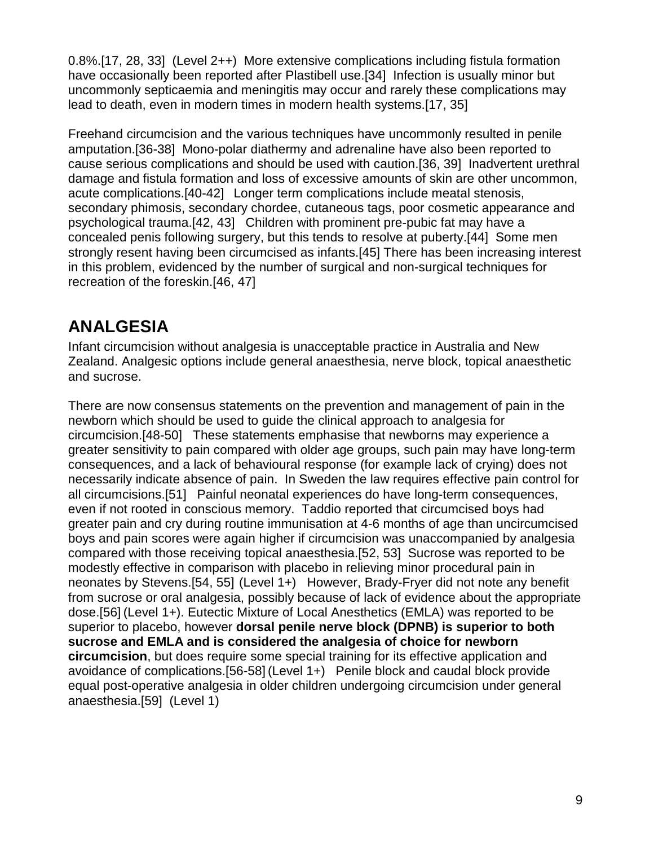0.8%.[17, 28, 33] (Level 2++) More extensive complications including fistula formation have occasionally been reported after Plastibell use.[34] Infection is usually minor but uncommonly septicaemia and meningitis may occur and rarely these complications may lead to death, even in modern times in modern health systems.[17, 35]

Freehand circumcision and the various techniques have uncommonly resulted in penile amputation.[36-38] Mono-polar diathermy and adrenaline have also been reported to cause serious complications and should be used with caution.[36, 39] Inadvertent urethral damage and fistula formation and loss of excessive amounts of skin are other uncommon, acute complications.[40-42] Longer term complications include meatal stenosis, secondary phimosis, secondary chordee, cutaneous tags, poor cosmetic appearance and psychological trauma.[42, 43] Children with prominent pre-pubic fat may have a concealed penis following surgery, but this tends to resolve at puberty.[44] Some men strongly resent having been circumcised as infants.[45] There has been increasing interest in this problem, evidenced by the number of surgical and non-surgical techniques for recreation of the foreskin.[46, 47]

## **ANALGESIA**

Infant circumcision without analgesia is unacceptable practice in Australia and New Zealand. Analgesic options include general anaesthesia, nerve block, topical anaesthetic and sucrose.

There are now consensus statements on the prevention and management of pain in the newborn which should be used to guide the clinical approach to analgesia for circumcision.[48-50] These statements emphasise that newborns may experience a greater sensitivity to pain compared with older age groups, such pain may have long-term consequences, and a lack of behavioural response (for example lack of crying) does not necessarily indicate absence of pain. In Sweden the law requires effective pain control for all circumcisions.[51] Painful neonatal experiences do have long-term consequences, even if not rooted in conscious memory. Taddio reported that circumcised boys had greater pain and cry during routine immunisation at 4-6 months of age than uncircumcised boys and pain scores were again higher if circumcision was unaccompanied by analgesia compared with those receiving topical anaesthesia.[52, 53] Sucrose was reported to be modestly effective in comparison with placebo in relieving minor procedural pain in neonates by Stevens.[54, 55] (Level 1+) However, Brady-Fryer did not note any benefit from sucrose or oral analgesia, possibly because of lack of evidence about the appropriate dose.[56] (Level 1+). Eutectic Mixture of Local Anesthetics (EMLA) was reported to be superior to placebo, however **dorsal penile nerve block (DPNB) is superior to both sucrose and EMLA and is considered the analgesia of choice for newborn circumcision**, but does require some special training for its effective application and avoidance of complications.[56-58] (Level 1+) Penile block and caudal block provide equal post-operative analgesia in older children undergoing circumcision under general anaesthesia.[59] (Level 1)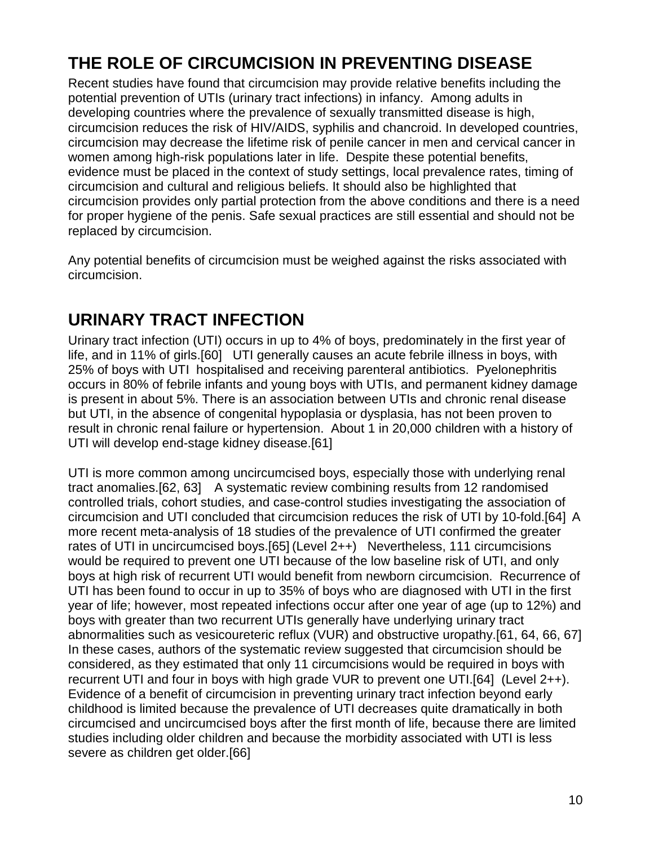# **THE ROLE OF CIRCUMCISION IN PREVENTING DISEASE**

Recent studies have found that circumcision may provide relative benefits including the potential prevention of UTIs (urinary tract infections) in infancy. Among adults in developing countries where the prevalence of sexually transmitted disease is high, circumcision reduces the risk of HIV/AIDS, syphilis and chancroid. In developed countries, circumcision may decrease the lifetime risk of penile cancer in men and cervical cancer in women among high-risk populations later in life. Despite these potential benefits, evidence must be placed in the context of study settings, local prevalence rates, timing of circumcision and cultural and religious beliefs. It should also be highlighted that circumcision provides only partial protection from the above conditions and there is a need for proper hygiene of the penis. Safe sexual practices are still essential and should not be replaced by circumcision.

Any potential benefits of circumcision must be weighed against the risks associated with circumcision.

### **URINARY TRACT INFECTION**

Urinary tract infection (UTI) occurs in up to 4% of boys, predominately in the first year of life, and in 11% of girls.[60] UTI generally causes an acute febrile illness in boys, with 25% of boys with UTI hospitalised and receiving parenteral antibiotics. Pyelonephritis occurs in 80% of febrile infants and young boys with UTIs, and permanent kidney damage is present in about 5%. There is an association between UTIs and chronic renal disease but UTI, in the absence of congenital hypoplasia or dysplasia, has not been proven to result in chronic renal failure or hypertension. About 1 in 20,000 children with a history of UTI will develop end-stage kidney disease.[61]

UTI is more common among uncircumcised boys, especially those with underlying renal tract anomalies.[62, 63] A systematic review combining results from 12 randomised controlled trials, cohort studies, and case-control studies investigating the association of circumcision and UTI concluded that circumcision reduces the risk of UTI by 10-fold.[64] A more recent meta-analysis of 18 studies of the prevalence of UTI confirmed the greater rates of UTI in uncircumcised boys.[65] (Level 2++) Nevertheless, 111 circumcisions would be required to prevent one UTI because of the low baseline risk of UTI, and only boys at high risk of recurrent UTI would benefit from newborn circumcision. Recurrence of UTI has been found to occur in up to 35% of boys who are diagnosed with UTI in the first year of life; however, most repeated infections occur after one year of age (up to 12%) and boys with greater than two recurrent UTIs generally have underlying urinary tract abnormalities such as vesicoureteric reflux (VUR) and obstructive uropathy.[61, 64, 66, 67] In these cases, authors of the systematic review suggested that circumcision should be considered, as they estimated that only 11 circumcisions would be required in boys with recurrent UTI and four in boys with high grade VUR to prevent one UTI.[64] (Level 2++). Evidence of a benefit of circumcision in preventing urinary tract infection beyond early childhood is limited because the prevalence of UTI decreases quite dramatically in both circumcised and uncircumcised boys after the first month of life, because there are limited studies including older children and because the morbidity associated with UTI is less severe as children get older.[66]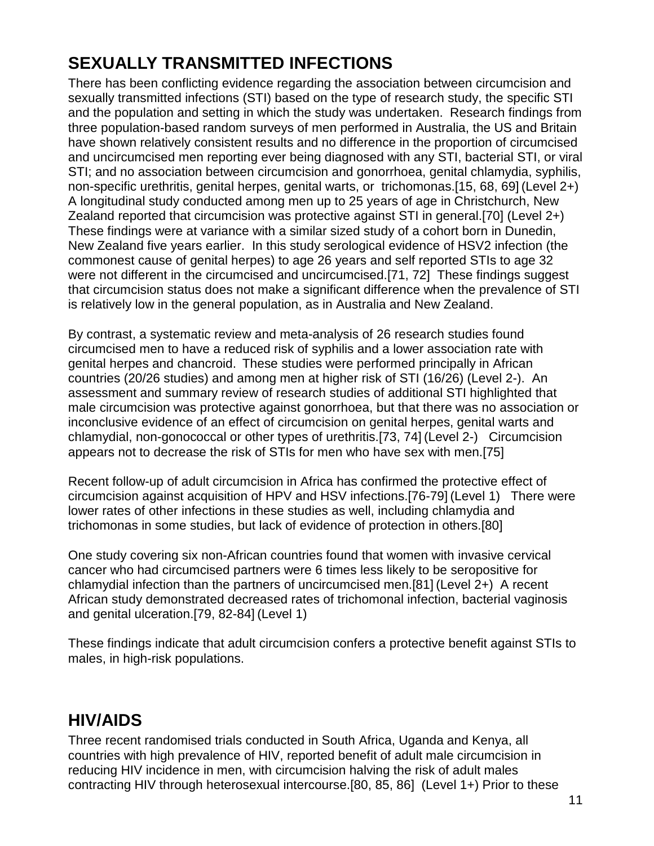# **SEXUALLY TRANSMITTED INFECTIONS**

There has been conflicting evidence regarding the association between circumcision and sexually transmitted infections (STI) based on the type of research study, the specific STI and the population and setting in which the study was undertaken. Research findings from three population-based random surveys of men performed in Australia, the US and Britain have shown relatively consistent results and no difference in the proportion of circumcised and uncircumcised men reporting ever being diagnosed with any STI, bacterial STI, or viral STI; and no association between circumcision and gonorrhoea, genital chlamydia, syphilis, non-specific urethritis, genital herpes, genital warts, or trichomonas.[15, 68, 69] (Level 2+) A longitudinal study conducted among men up to 25 years of age in Christchurch, New Zealand reported that circumcision was protective against STI in general.[70] (Level 2+) These findings were at variance with a similar sized study of a cohort born in Dunedin, New Zealand five years earlier. In this study serological evidence of HSV2 infection (the commonest cause of genital herpes) to age 26 years and self reported STIs to age 32 were not different in the circumcised and uncircumcised.[71, 72] These findings suggest that circumcision status does not make a significant difference when the prevalence of STI is relatively low in the general population, as in Australia and New Zealand.

By contrast, a systematic review and meta-analysis of 26 research studies found circumcised men to have a reduced risk of syphilis and a lower association rate with genital herpes and chancroid. These studies were performed principally in African countries (20/26 studies) and among men at higher risk of STI (16/26) (Level 2-). An assessment and summary review of research studies of additional STI highlighted that male circumcision was protective against gonorrhoea, but that there was no association or inconclusive evidence of an effect of circumcision on genital herpes, genital warts and chlamydial, non-gonococcal or other types of urethritis.[73, 74] (Level 2-) Circumcision appears not to decrease the risk of STIs for men who have sex with men.[75]

Recent follow-up of adult circumcision in Africa has confirmed the protective effect of circumcision against acquisition of HPV and HSV infections.[76-79] (Level 1) There were lower rates of other infections in these studies as well, including chlamydia and trichomonas in some studies, but lack of evidence of protection in others.[80]

One study covering six non-African countries found that women with invasive cervical cancer who had circumcised partners were 6 times less likely to be seropositive for chlamydial infection than the partners of uncircumcised men.[81] (Level 2+) A recent African study demonstrated decreased rates of trichomonal infection, bacterial vaginosis and genital ulceration.[79, 82-84] (Level 1)

These findings indicate that adult circumcision confers a protective benefit against STIs to males, in high-risk populations.

# **HIV/AIDS**

Three recent randomised trials conducted in South Africa, Uganda and Kenya, all countries with high prevalence of HIV, reported benefit of adult male circumcision in reducing HIV incidence in men, with circumcision halving the risk of adult males contracting HIV through heterosexual intercourse.[80, 85, 86] (Level 1+) Prior to these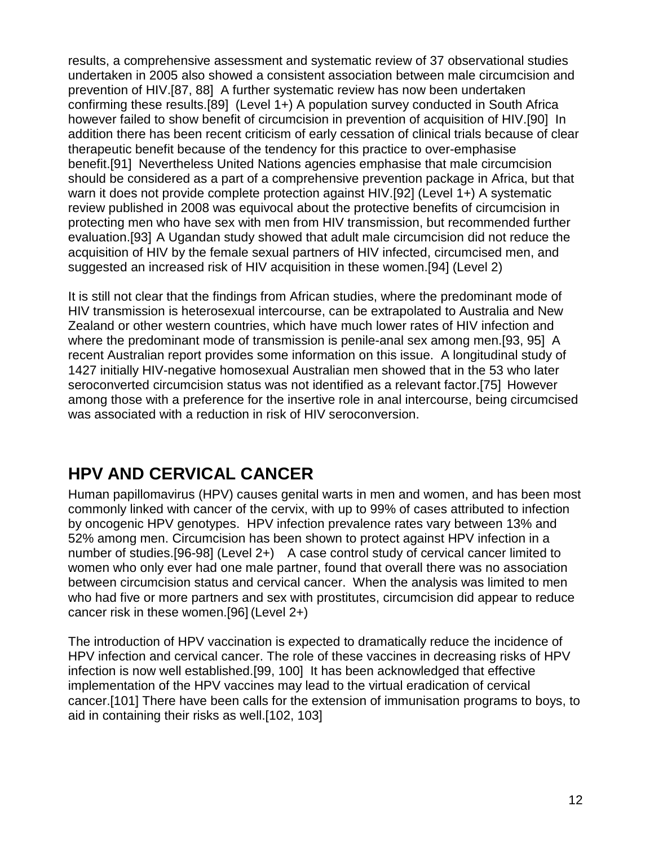results, a comprehensive assessment and systematic review of 37 observational studies undertaken in 2005 also showed a consistent association between male circumcision and prevention of HIV.[87, 88] A further systematic review has now been undertaken confirming these results.[89] (Level 1+) A population survey conducted in South Africa however failed to show benefit of circumcision in prevention of acquisition of HIV.[90] In addition there has been recent criticism of early cessation of clinical trials because of clear therapeutic benefit because of the tendency for this practice to over-emphasise benefit.[91] Nevertheless United Nations agencies emphasise that male circumcision should be considered as a part of a comprehensive prevention package in Africa, but that warn it does not provide complete protection against HIV.[92] (Level 1+) A systematic review published in 2008 was equivocal about the protective benefits of circumcision in protecting men who have sex with men from HIV transmission, but recommended further evaluation.[93] A Ugandan study showed that adult male circumcision did not reduce the acquisition of HIV by the female sexual partners of HIV infected, circumcised men, and suggested an increased risk of HIV acquisition in these women.[94] (Level 2)

It is still not clear that the findings from African studies, where the predominant mode of HIV transmission is heterosexual intercourse, can be extrapolated to Australia and New Zealand or other western countries, which have much lower rates of HIV infection and where the predominant mode of transmission is penile-anal sex among men.[93, 95] A recent Australian report provides some information on this issue. A longitudinal study of 1427 initially HIV-negative homosexual Australian men showed that in the 53 who later seroconverted circumcision status was not identified as a relevant factor.[75] However among those with a preference for the insertive role in anal intercourse, being circumcised was associated with a reduction in risk of HIV seroconversion.

### **HPV AND CERVICAL CANCER**

Human papillomavirus (HPV) causes genital warts in men and women, and has been most commonly linked with cancer of the cervix, with up to 99% of cases attributed to infection by oncogenic HPV genotypes. HPV infection prevalence rates vary between 13% and 52% among men. Circumcision has been shown to protect against HPV infection in a number of studies.[96-98] (Level 2+) A case control study of cervical cancer limited to women who only ever had one male partner, found that overall there was no association between circumcision status and cervical cancer. When the analysis was limited to men who had five or more partners and sex with prostitutes, circumcision did appear to reduce cancer risk in these women.[96] (Level 2+)

The introduction of HPV vaccination is expected to dramatically reduce the incidence of HPV infection and cervical cancer. The role of these vaccines in decreasing risks of HPV infection is now well established.[99, 100] It has been acknowledged that effective implementation of the HPV vaccines may lead to the virtual eradication of cervical cancer.[101] There have been calls for the extension of immunisation programs to boys, to aid in containing their risks as well.[102, 103]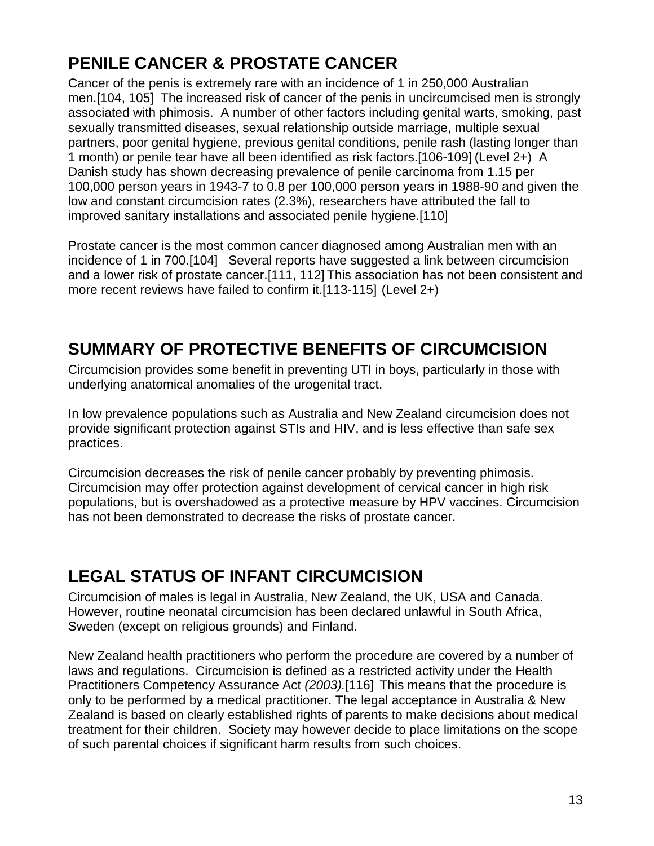# **PENILE CANCER & PROSTATE CANCER**

Cancer of the penis is extremely rare with an incidence of 1 in 250,000 Australian men.[104, 105] The increased risk of cancer of the penis in uncircumcised men is strongly associated with phimosis. A number of other factors including genital warts, smoking, past sexually transmitted diseases, sexual relationship outside marriage, multiple sexual partners, poor genital hygiene, previous genital conditions, penile rash (lasting longer than 1 month) or penile tear have all been identified as risk factors.[106-109] (Level 2+) A Danish study has shown decreasing prevalence of penile carcinoma from 1.15 per 100,000 person years in 1943-7 to 0.8 per 100,000 person years in 1988-90 and given the low and constant circumcision rates (2.3%), researchers have attributed the fall to improved sanitary installations and associated penile hygiene.[110]

Prostate cancer is the most common cancer diagnosed among Australian men with an incidence of 1 in 700.[104] Several reports have suggested a link between circumcision and a lower risk of prostate cancer.[111, 112] This association has not been consistent and more recent reviews have failed to confirm it.[113-115] (Level 2+)

### **SUMMARY OF PROTECTIVE BENEFITS OF CIRCUMCISION**

Circumcision provides some benefit in preventing UTI in boys, particularly in those with underlying anatomical anomalies of the urogenital tract.

In low prevalence populations such as Australia and New Zealand circumcision does not provide significant protection against STIs and HIV, and is less effective than safe sex practices.

Circumcision decreases the risk of penile cancer probably by preventing phimosis. Circumcision may offer protection against development of cervical cancer in high risk populations, but is overshadowed as a protective measure by HPV vaccines. Circumcision has not been demonstrated to decrease the risks of prostate cancer.

### **LEGAL STATUS OF INFANT CIRCUMCISION**

Circumcision of males is legal in Australia, New Zealand, the UK, USA and Canada. However, routine neonatal circumcision has been declared unlawful in South Africa, Sweden (except on religious grounds) and Finland.

New Zealand health practitioners who perform the procedure are covered by a number of laws and regulations. Circumcision is defined as a restricted activity under the Health Practitioners Competency Assurance Act (2003).[116] This means that the procedure is only to be performed by a medical practitioner. The legal acceptance in Australia & New Zealand is based on clearly established rights of parents to make decisions about medical treatment for their children. Society may however decide to place limitations on the scope of such parental choices if significant harm results from such choices.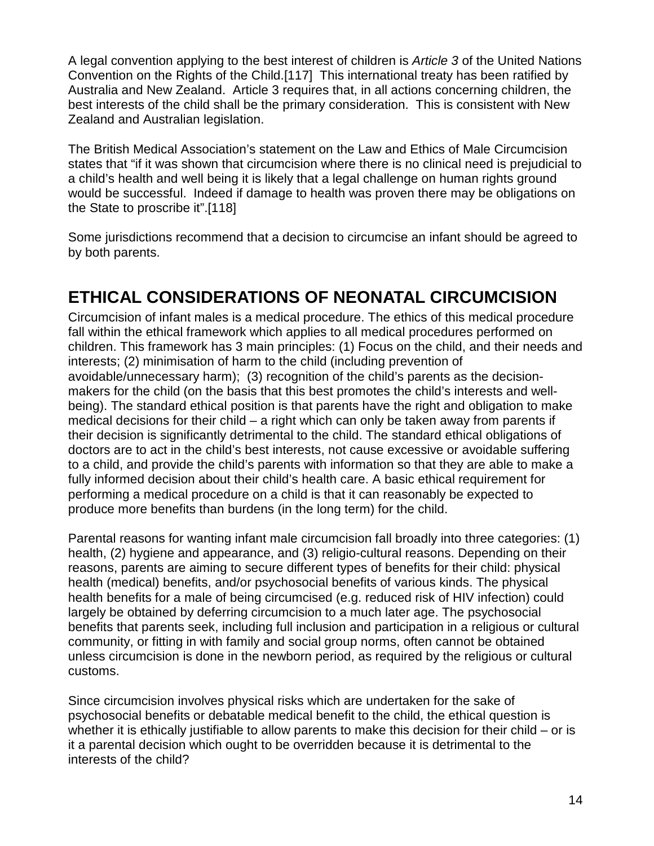A legal convention applying to the best interest of children is Article 3 of the United Nations Convention on the Rights of the Child.[117] This international treaty has been ratified by Australia and New Zealand. Article 3 requires that, in all actions concerning children, the best interests of the child shall be the primary consideration. This is consistent with New Zealand and Australian legislation.

The British Medical Association's statement on the Law and Ethics of Male Circumcision states that "if it was shown that circumcision where there is no clinical need is prejudicial to a child's health and well being it is likely that a legal challenge on human rights ground would be successful. Indeed if damage to health was proven there may be obligations on the State to proscribe it".[118]

Some jurisdictions recommend that a decision to circumcise an infant should be agreed to by both parents.

# **ETHICAL CONSIDERATIONS OF NEONATAL CIRCUMCISION**

Circumcision of infant males is a medical procedure. The ethics of this medical procedure fall within the ethical framework which applies to all medical procedures performed on children. This framework has 3 main principles: (1) Focus on the child, and their needs and interests; (2) minimisation of harm to the child (including prevention of avoidable/unnecessary harm); (3) recognition of the child's parents as the decisionmakers for the child (on the basis that this best promotes the child's interests and wellbeing). The standard ethical position is that parents have the right and obligation to make medical decisions for their child – a right which can only be taken away from parents if their decision is significantly detrimental to the child. The standard ethical obligations of doctors are to act in the child's best interests, not cause excessive or avoidable suffering to a child, and provide the child's parents with information so that they are able to make a fully informed decision about their child's health care. A basic ethical requirement for performing a medical procedure on a child is that it can reasonably be expected to produce more benefits than burdens (in the long term) for the child.

Parental reasons for wanting infant male circumcision fall broadly into three categories: (1) health, (2) hygiene and appearance, and (3) religio-cultural reasons. Depending on their reasons, parents are aiming to secure different types of benefits for their child: physical health (medical) benefits, and/or psychosocial benefits of various kinds. The physical health benefits for a male of being circumcised (e.g. reduced risk of HIV infection) could largely be obtained by deferring circumcision to a much later age. The psychosocial benefits that parents seek, including full inclusion and participation in a religious or cultural community, or fitting in with family and social group norms, often cannot be obtained unless circumcision is done in the newborn period, as required by the religious or cultural customs.

Since circumcision involves physical risks which are undertaken for the sake of psychosocial benefits or debatable medical benefit to the child, the ethical question is whether it is ethically justifiable to allow parents to make this decision for their child – or is it a parental decision which ought to be overridden because it is detrimental to the interests of the child?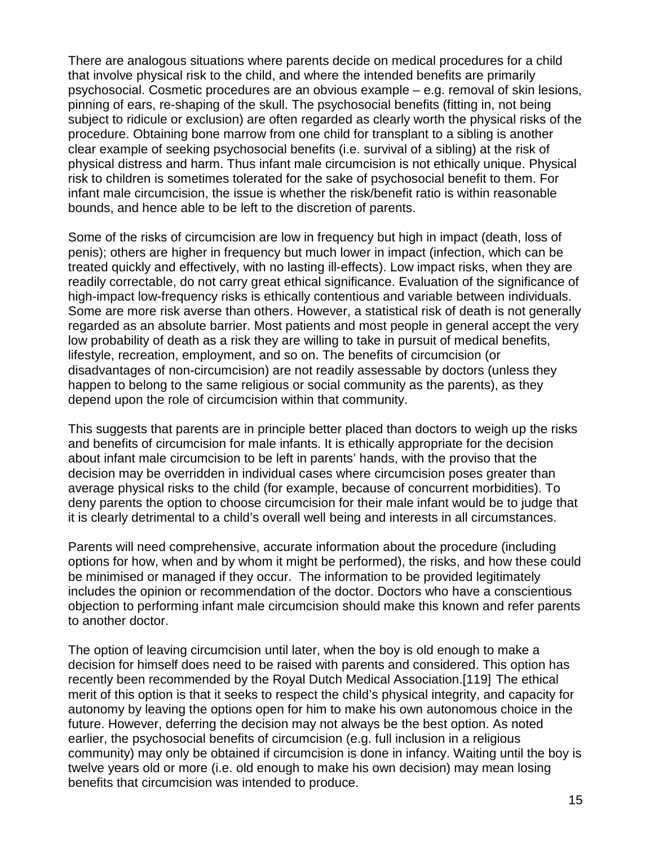There are analogous situations where parents decide on medical procedures for a child that involve physical risk to the child, and where the intended benefits are primarily psychosocial. Cosmetic procedures are an obvious example – e.g. removal of skin lesions, pinning of ears, re-shaping of the skull. The psychosocial benefits (fitting in, not being subject to ridicule or exclusion) are often regarded as clearly worth the physical risks of the procedure. Obtaining bone marrow from one child for transplant to a sibling is another clear example of seeking psychosocial benefits (i.e. survival of a sibling) at the risk of physical distress and harm. Thus infant male circumcision is not ethically unique. Physical risk to children is sometimes tolerated for the sake of psychosocial benefit to them. For infant male circumcision, the issue is whether the risk/benefit ratio is within reasonable bounds, and hence able to be left to the discretion of parents.

Some of the risks of circumcision are low in frequency but high in impact (death, loss of penis); others are higher in frequency but much lower in impact (infection, which can be treated quickly and effectively, with no lasting ill-effects). Low impact risks, when they are readily correctable, do not carry great ethical significance. Evaluation of the significance of high-impact low-frequency risks is ethically contentious and variable between individuals. Some are more risk averse than others. However, a statistical risk of death is not generally regarded as an absolute barrier. Most patients and most people in general accept the very low probability of death as a risk they are willing to take in pursuit of medical benefits, lifestyle, recreation, employment, and so on. The benefits of circumcision (or disadvantages of non-circumcision) are not readily assessable by doctors (unless they happen to belong to the same religious or social community as the parents), as they depend upon the role of circumcision within that community.

This suggests that parents are in principle better placed than doctors to weigh up the risks and benefits of circumcision for male infants. It is ethically appropriate for the decision about infant male circumcision to be left in parents' hands, with the proviso that the decision may be overridden in individual cases where circumcision poses greater than average physical risks to the child (for example, because of concurrent morbidities). To deny parents the option to choose circumcision for their male infant would be to judge that it is clearly detrimental to a child's overall well being and interests in all circumstances.

Parents will need comprehensive, accurate information about the procedure (including options for how, when and by whom it might be performed), the risks, and how these could be minimised or managed if they occur. The information to be provided legitimately includes the opinion or recommendation of the doctor. Doctors who have a conscientious objection to performing infant male circumcision should make this known and refer parents to another doctor.

The option of leaving circumcision until later, when the boy is old enough to make a decision for himself does need to be raised with parents and considered. This option has recently been recommended by the Royal Dutch Medical Association.[119] The ethical merit of this option is that it seeks to respect the child's physical integrity, and capacity for autonomy by leaving the options open for him to make his own autonomous choice in the future. However, deferring the decision may not always be the best option. As noted earlier, the psychosocial benefits of circumcision (e.g. full inclusion in a religious community) may only be obtained if circumcision is done in infancy. Waiting until the boy is twelve years old or more (i.e. old enough to make his own decision) may mean losing benefits that circumcision was intended to produce.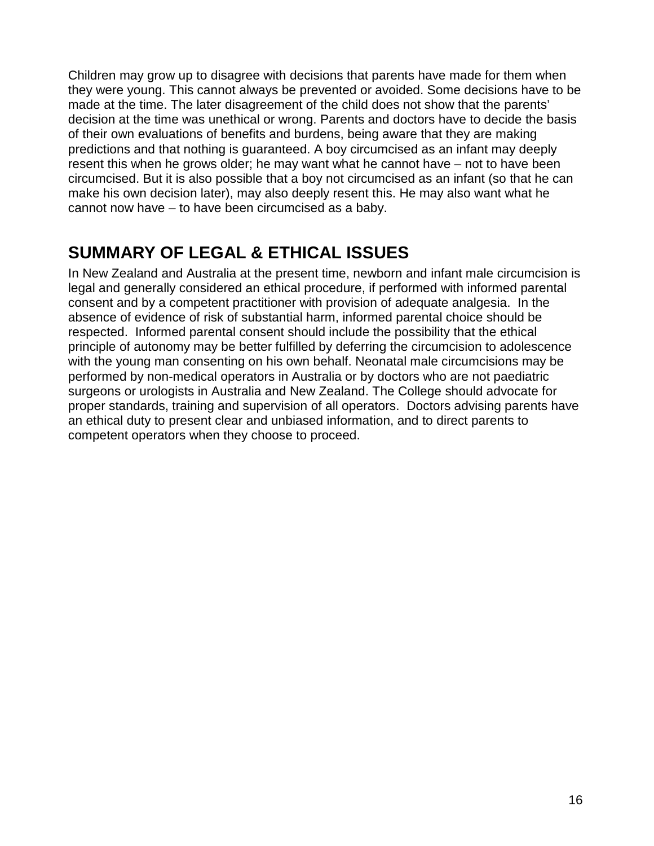Children may grow up to disagree with decisions that parents have made for them when they were young. This cannot always be prevented or avoided. Some decisions have to be made at the time. The later disagreement of the child does not show that the parents' decision at the time was unethical or wrong. Parents and doctors have to decide the basis of their own evaluations of benefits and burdens, being aware that they are making predictions and that nothing is guaranteed. A boy circumcised as an infant may deeply resent this when he grows older; he may want what he cannot have – not to have been circumcised. But it is also possible that a boy not circumcised as an infant (so that he can make his own decision later), may also deeply resent this. He may also want what he cannot now have – to have been circumcised as a baby.

# **SUMMARY OF LEGAL & ETHICAL ISSUES**

In New Zealand and Australia at the present time, newborn and infant male circumcision is legal and generally considered an ethical procedure, if performed with informed parental consent and by a competent practitioner with provision of adequate analgesia. In the absence of evidence of risk of substantial harm, informed parental choice should be respected. Informed parental consent should include the possibility that the ethical principle of autonomy may be better fulfilled by deferring the circumcision to adolescence with the young man consenting on his own behalf. Neonatal male circumcisions may be performed by non-medical operators in Australia or by doctors who are not paediatric surgeons or urologists in Australia and New Zealand. The College should advocate for proper standards, training and supervision of all operators. Doctors advising parents have an ethical duty to present clear and unbiased information, and to direct parents to competent operators when they choose to proceed.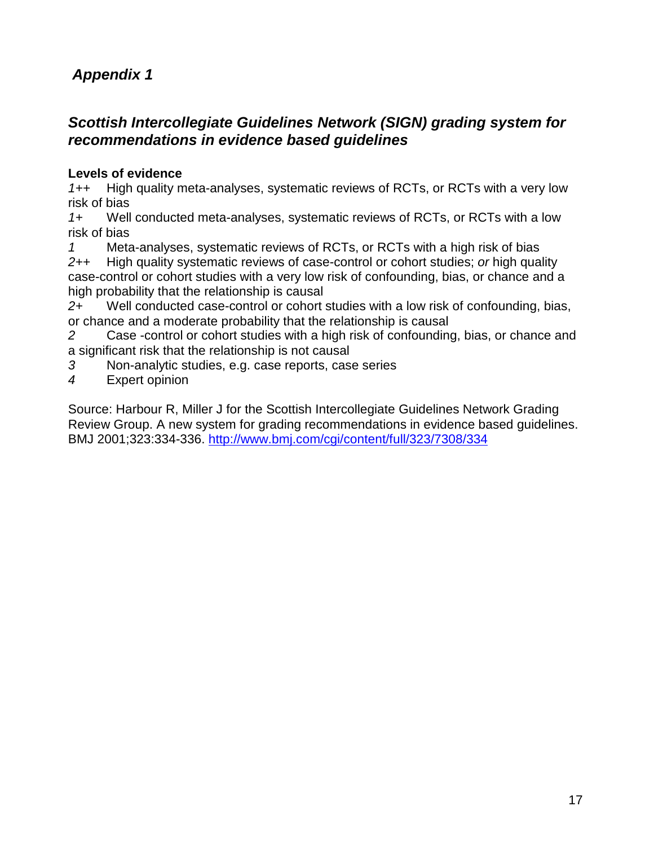### **Appendix 1**

#### **Scottish Intercollegiate Guidelines Network (SIGN) grading system for recommendations in evidence based guidelines**

#### **Levels of evidence**

1++ High quality meta-analyses, systematic reviews of RCTs, or RCTs with a very low risk of bias

1+ Well conducted meta-analyses, systematic reviews of RCTs, or RCTs with a low risk of bias

1 Meta-analyses, systematic reviews of RCTs, or RCTs with a high risk of bias 2++ High quality systematic reviews of case-control or cohort studies; or high quality case-control or cohort studies with a very low risk of confounding, bias, or chance and a high probability that the relationship is causal

2+ Well conducted case-control or cohort studies with a low risk of confounding, bias, or chance and a moderate probability that the relationship is causal

2 Case -control or cohort studies with a high risk of confounding, bias, or chance and a significant risk that the relationship is not causal

- 3 Non-analytic studies, e.g. case reports, case series
- 4 Expert opinion

Source: Harbour R, Miller J for the Scottish Intercollegiate Guidelines Network Grading Review Group. A new system for grading recommendations in evidence based guidelines. BMJ 2001;323:334-336. http://www.bmj.com/cgi/content/full/323/7308/334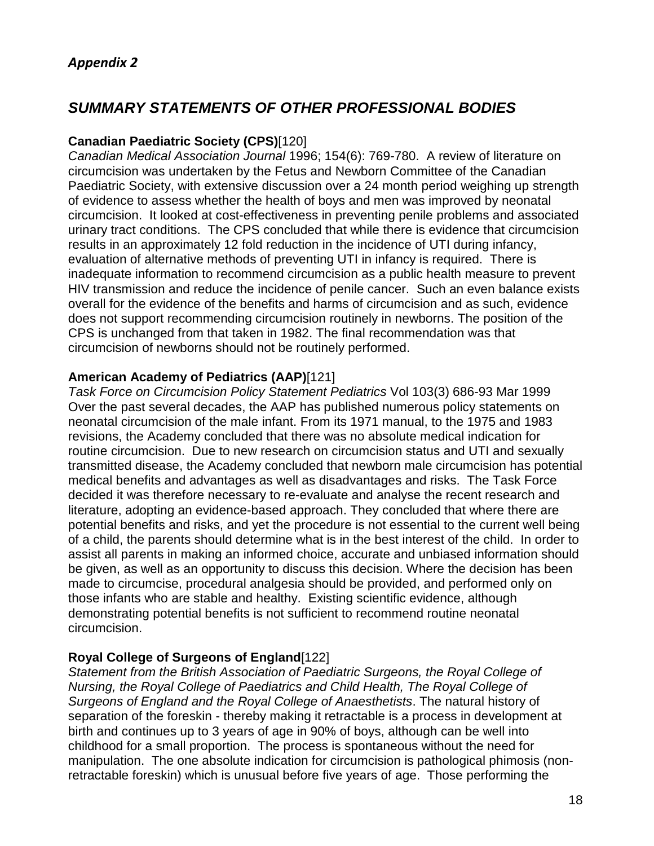#### **SUMMARY STATEMENTS OF OTHER PROFESSIONAL BODIES**

#### **Canadian Paediatric Society (CPS)**[120]

Canadian Medical Association Journal 1996; 154(6): 769-780. A review of literature on circumcision was undertaken by the Fetus and Newborn Committee of the Canadian Paediatric Society, with extensive discussion over a 24 month period weighing up strength of evidence to assess whether the health of boys and men was improved by neonatal circumcision. It looked at cost-effectiveness in preventing penile problems and associated urinary tract conditions. The CPS concluded that while there is evidence that circumcision results in an approximately 12 fold reduction in the incidence of UTI during infancy, evaluation of alternative methods of preventing UTI in infancy is required. There is inadequate information to recommend circumcision as a public health measure to prevent HIV transmission and reduce the incidence of penile cancer. Such an even balance exists overall for the evidence of the benefits and harms of circumcision and as such, evidence does not support recommending circumcision routinely in newborns. The position of the CPS is unchanged from that taken in 1982. The final recommendation was that circumcision of newborns should not be routinely performed.

#### **American Academy of Pediatrics (AAP)**[121]

Task Force on Circumcision Policy Statement Pediatrics Vol 103(3) 686-93 Mar 1999 Over the past several decades, the AAP has published numerous policy statements on neonatal circumcision of the male infant. From its 1971 manual, to the 1975 and 1983 revisions, the Academy concluded that there was no absolute medical indication for routine circumcision. Due to new research on circumcision status and UTI and sexually transmitted disease, the Academy concluded that newborn male circumcision has potential medical benefits and advantages as well as disadvantages and risks. The Task Force decided it was therefore necessary to re-evaluate and analyse the recent research and literature, adopting an evidence-based approach. They concluded that where there are potential benefits and risks, and yet the procedure is not essential to the current well being of a child, the parents should determine what is in the best interest of the child. In order to assist all parents in making an informed choice, accurate and unbiased information should be given, as well as an opportunity to discuss this decision. Where the decision has been made to circumcise, procedural analgesia should be provided, and performed only on those infants who are stable and healthy. Existing scientific evidence, although demonstrating potential benefits is not sufficient to recommend routine neonatal circumcision.

#### **Royal College of Surgeons of England**[122]

Statement from the British Association of Paediatric Surgeons, the Royal College of Nursing, the Royal College of Paediatrics and Child Health, The Royal College of Surgeons of England and the Royal College of Anaesthetists. The natural history of separation of the foreskin - thereby making it retractable is a process in development at birth and continues up to 3 years of age in 90% of boys, although can be well into childhood for a small proportion. The process is spontaneous without the need for manipulation. The one absolute indication for circumcision is pathological phimosis (nonretractable foreskin) which is unusual before five years of age. Those performing the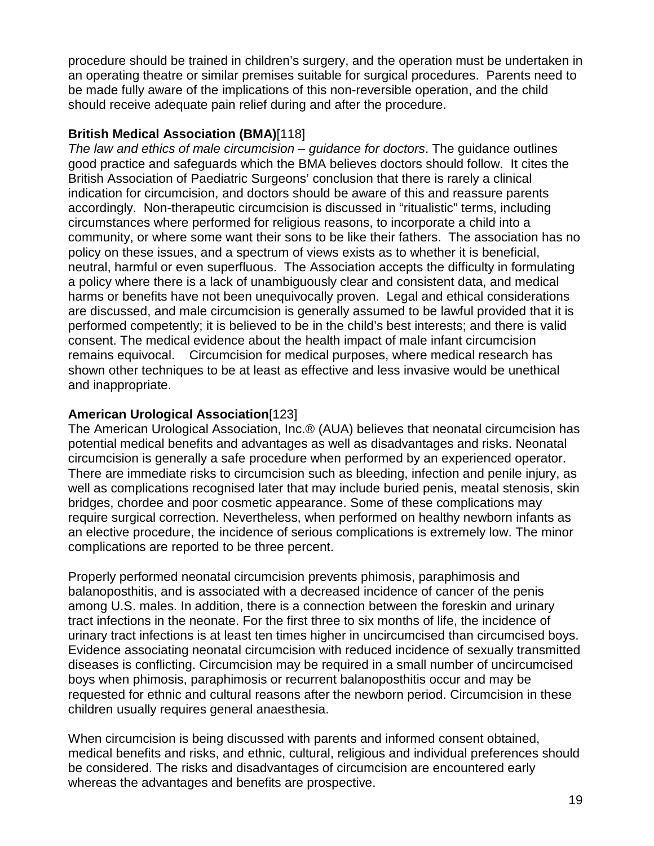procedure should be trained in children's surgery, and the operation must be undertaken in an operating theatre or similar premises suitable for surgical procedures. Parents need to be made fully aware of the implications of this non-reversible operation, and the child should receive adequate pain relief during and after the procedure.

#### **British Medical Association (BMA)**[118]

The law and ethics of male circumcision – guidance for doctors. The guidance outlines good practice and safeguards which the BMA believes doctors should follow. It cites the British Association of Paediatric Surgeons' conclusion that there is rarely a clinical indication for circumcision, and doctors should be aware of this and reassure parents accordingly. Non-therapeutic circumcision is discussed in "ritualistic" terms, including circumstances where performed for religious reasons, to incorporate a child into a community, or where some want their sons to be like their fathers. The association has no policy on these issues, and a spectrum of views exists as to whether it is beneficial, neutral, harmful or even superfluous. The Association accepts the difficulty in formulating a policy where there is a lack of unambiguously clear and consistent data, and medical harms or benefits have not been unequivocally proven. Legal and ethical considerations are discussed, and male circumcision is generally assumed to be lawful provided that it is performed competently; it is believed to be in the child's best interests; and there is valid consent. The medical evidence about the health impact of male infant circumcision remains equivocal. Circumcision for medical purposes, where medical research has shown other techniques to be at least as effective and less invasive would be unethical and inappropriate.

#### **American Urological Association**[123]

The American Urological Association, Inc.® (AUA) believes that neonatal circumcision has potential medical benefits and advantages as well as disadvantages and risks. Neonatal circumcision is generally a safe procedure when performed by an experienced operator. There are immediate risks to circumcision such as bleeding, infection and penile injury, as well as complications recognised later that may include buried penis, meatal stenosis, skin bridges, chordee and poor cosmetic appearance. Some of these complications may require surgical correction. Nevertheless, when performed on healthy newborn infants as an elective procedure, the incidence of serious complications is extremely low. The minor complications are reported to be three percent.

Properly performed neonatal circumcision prevents phimosis, paraphimosis and balanoposthitis, and is associated with a decreased incidence of cancer of the penis among U.S. males. In addition, there is a connection between the foreskin and urinary tract infections in the neonate. For the first three to six months of life, the incidence of urinary tract infections is at least ten times higher in uncircumcised than circumcised boys. Evidence associating neonatal circumcision with reduced incidence of sexually transmitted diseases is conflicting. Circumcision may be required in a small number of uncircumcised boys when phimosis, paraphimosis or recurrent balanoposthitis occur and may be requested for ethnic and cultural reasons after the newborn period. Circumcision in these children usually requires general anaesthesia.

When circumcision is being discussed with parents and informed consent obtained, medical benefits and risks, and ethnic, cultural, religious and individual preferences should be considered. The risks and disadvantages of circumcision are encountered early whereas the advantages and benefits are prospective.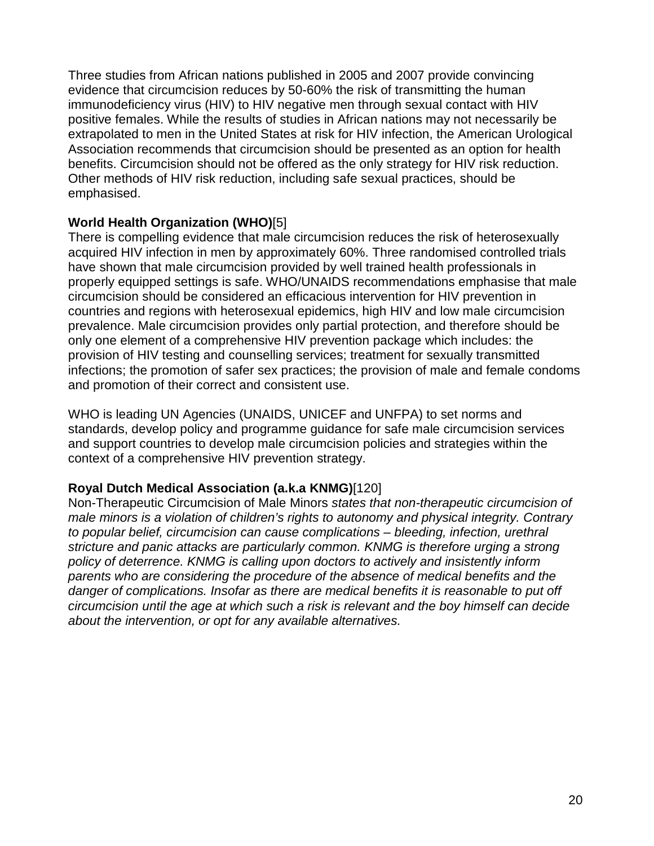Three studies from African nations published in 2005 and 2007 provide convincing evidence that circumcision reduces by 50-60% the risk of transmitting the human immunodeficiency virus (HIV) to HIV negative men through sexual contact with HIV positive females. While the results of studies in African nations may not necessarily be extrapolated to men in the United States at risk for HIV infection, the American Urological Association recommends that circumcision should be presented as an option for health benefits. Circumcision should not be offered as the only strategy for HIV risk reduction. Other methods of HIV risk reduction, including safe sexual practices, should be emphasised.

#### **World Health Organization (WHO)**[5]

There is compelling evidence that male circumcision reduces the risk of heterosexually acquired HIV infection in men by approximately 60%. Three randomised controlled trials have shown that male circumcision provided by well trained health professionals in properly equipped settings is safe. WHO/UNAIDS recommendations emphasise that male circumcision should be considered an efficacious intervention for HIV prevention in countries and regions with heterosexual epidemics, high HIV and low male circumcision prevalence. Male circumcision provides only partial protection, and therefore should be only one element of a comprehensive HIV prevention package which includes: the provision of HIV testing and counselling services; treatment for sexually transmitted infections; the promotion of safer sex practices; the provision of male and female condoms and promotion of their correct and consistent use.

WHO is leading UN Agencies (UNAIDS, UNICEF and UNFPA) to set norms and standards, develop policy and programme guidance for safe male circumcision services and support countries to develop male circumcision policies and strategies within the context of a comprehensive HIV prevention strategy.

#### **Royal Dutch Medical Association (a.k.a KNMG)**[120]

Non-Therapeutic Circumcision of Male Minors states that non-therapeutic circumcision of male minors is a violation of children's rights to autonomy and physical integrity. Contrary to popular belief, circumcision can cause complications – bleeding, infection, urethral stricture and panic attacks are particularly common. KNMG is therefore urging a strong policy of deterrence. KNMG is calling upon doctors to actively and insistently inform parents who are considering the procedure of the absence of medical benefits and the danger of complications. Insofar as there are medical benefits it is reasonable to put off circumcision until the age at which such a risk is relevant and the boy himself can decide about the intervention, or opt for any available alternatives.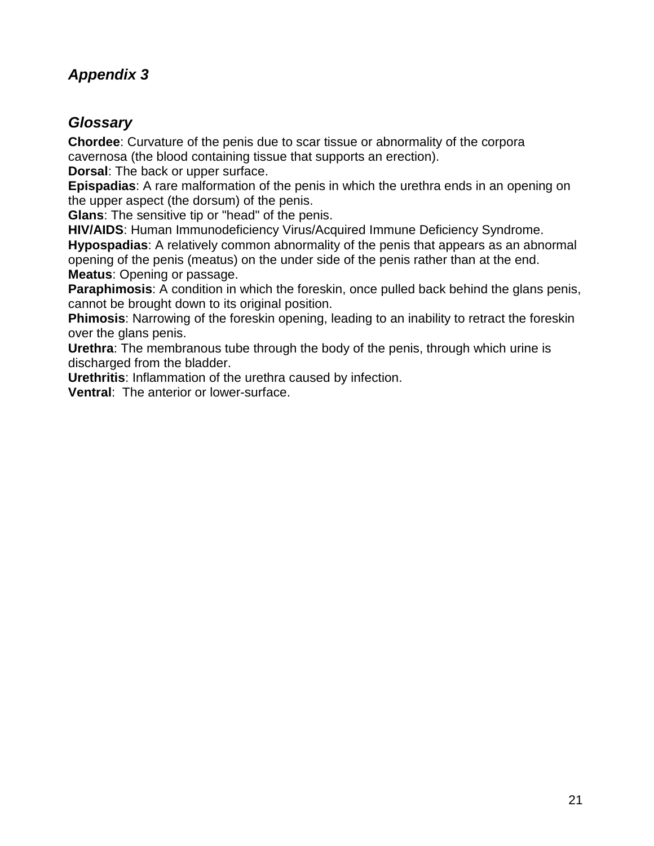### **Appendix 3**

#### **Glossary**

**Chordee**: Curvature of the penis due to scar tissue or abnormality of the corpora cavernosa (the blood containing tissue that supports an erection).

**Dorsal**: The back or upper surface.

**Epispadias**: A rare malformation of the penis in which the urethra ends in an opening on the upper aspect (the dorsum) of the penis.

**Glans**: The sensitive tip or "head" of the penis.

**HIV/AIDS**: Human Immunodeficiency Virus/Acquired Immune Deficiency Syndrome.

**Hypospadias**: A relatively common abnormality of the penis that appears as an abnormal opening of the penis (meatus) on the under side of the penis rather than at the end. **Meatus**: Opening or passage.

**Paraphimosis**: A condition in which the foreskin, once pulled back behind the glans penis, cannot be brought down to its original position.

**Phimosis:** Narrowing of the foreskin opening, leading to an inability to retract the foreskin over the glans penis.

**Urethra**: The membranous tube through the body of the penis, through which urine is discharged from the bladder.

**Urethritis**: Inflammation of the urethra caused by infection.

**Ventral**: The anterior or lower-surface.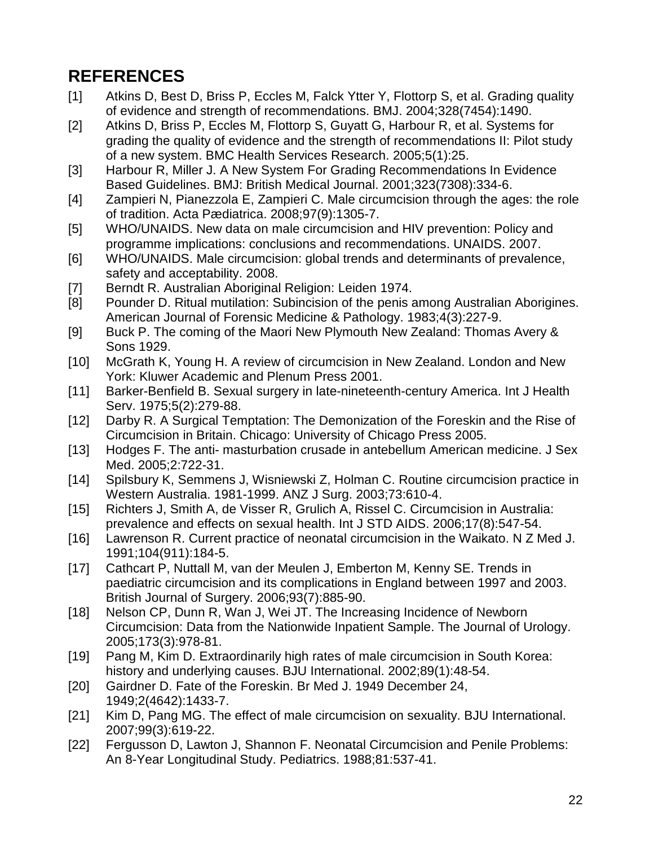# **REFERENCES**

- [1] Atkins D, Best D, Briss P, Eccles M, Falck Ytter Y, Flottorp S, et al. Grading quality of evidence and strength of recommendations. BMJ. 2004;328(7454):1490.
- [2] Atkins D, Briss P, Eccles M, Flottorp S, Guyatt G, Harbour R, et al. Systems for grading the quality of evidence and the strength of recommendations II: Pilot study of a new system. BMC Health Services Research. 2005;5(1):25.
- [3] Harbour R, Miller J. A New System For Grading Recommendations In Evidence Based Guidelines. BMJ: British Medical Journal. 2001;323(7308):334-6.
- [4] Zampieri N, Pianezzola E, Zampieri C. Male circumcision through the ages: the role of tradition. Acta Pædiatrica. 2008;97(9):1305-7.
- [5] WHO/UNAIDS. New data on male circumcision and HIV prevention: Policy and programme implications: conclusions and recommendations. UNAIDS. 2007.
- [6] WHO/UNAIDS. Male circumcision: global trends and determinants of prevalence, safety and acceptability. 2008.
- [7] Berndt R. Australian Aboriginal Religion: Leiden 1974.
- [8] Pounder D. Ritual mutilation: Subincision of the penis among Australian Aborigines. American Journal of Forensic Medicine & Pathology. 1983;4(3):227-9.
- [9] Buck P. The coming of the Maori New Plymouth New Zealand: Thomas Avery & Sons 1929.
- [10] McGrath K, Young H. A review of circumcision in New Zealand. London and New York: Kluwer Academic and Plenum Press 2001.
- [11] Barker-Benfield B. Sexual surgery in late-nineteenth-century America. Int J Health Serv. 1975;5(2):279-88.
- [12] Darby R. A Surgical Temptation: The Demonization of the Foreskin and the Rise of Circumcision in Britain. Chicago: University of Chicago Press 2005.
- [13] Hodges F. The anti- masturbation crusade in antebellum American medicine. J Sex Med. 2005;2:722-31.
- [14] Spilsbury K, Semmens J, Wisniewski Z, Holman C. Routine circumcision practice in Western Australia. 1981-1999. ANZ J Surg. 2003;73:610-4.
- [15] Richters J, Smith A, de Visser R, Grulich A, Rissel C. Circumcision in Australia: prevalence and effects on sexual health. Int J STD AIDS. 2006;17(8):547-54.
- [16] Lawrenson R. Current practice of neonatal circumcision in the Waikato. N Z Med J. 1991;104(911):184-5.
- [17] Cathcart P, Nuttall M, van der Meulen J, Emberton M, Kenny SE. Trends in paediatric circumcision and its complications in England between 1997 and 2003. British Journal of Surgery. 2006;93(7):885-90.
- [18] Nelson CP, Dunn R, Wan J, Wei JT. The Increasing Incidence of Newborn Circumcision: Data from the Nationwide Inpatient Sample. The Journal of Urology. 2005;173(3):978-81.
- [19] Pang M, Kim D. Extraordinarily high rates of male circumcision in South Korea: history and underlying causes. BJU International. 2002;89(1):48-54.
- [20] Gairdner D. Fate of the Foreskin. Br Med J. 1949 December 24, 1949;2(4642):1433-7.
- [21] Kim D, Pang MG. The effect of male circumcision on sexuality. BJU International. 2007;99(3):619-22.
- [22] Fergusson D, Lawton J, Shannon F. Neonatal Circumcision and Penile Problems: An 8-Year Longitudinal Study. Pediatrics. 1988;81:537-41.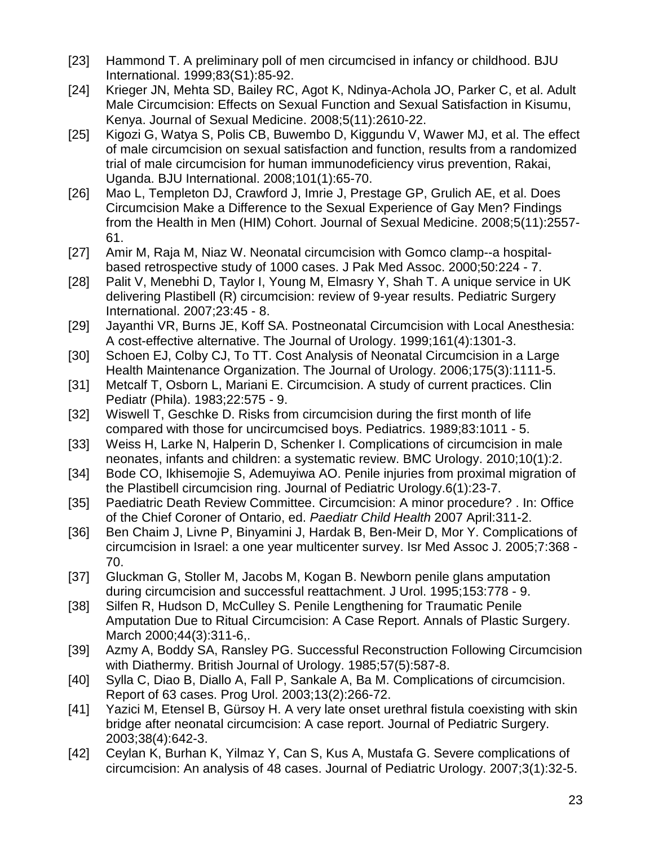- [23] Hammond T. A preliminary poll of men circumcised in infancy or childhood. BJU International. 1999;83(S1):85-92.
- [24] Krieger JN, Mehta SD, Bailey RC, Agot K, Ndinya-Achola JO, Parker C, et al. Adult Male Circumcision: Effects on Sexual Function and Sexual Satisfaction in Kisumu, Kenya. Journal of Sexual Medicine. 2008;5(11):2610-22.
- [25] Kigozi G, Watya S, Polis CB, Buwembo D, Kiggundu V, Wawer MJ, et al. The effect of male circumcision on sexual satisfaction and function, results from a randomized trial of male circumcision for human immunodeficiency virus prevention, Rakai, Uganda. BJU International. 2008;101(1):65-70.
- [26] Mao L, Templeton DJ, Crawford J, Imrie J, Prestage GP, Grulich AE, et al. Does Circumcision Make a Difference to the Sexual Experience of Gay Men? Findings from the Health in Men (HIM) Cohort. Journal of Sexual Medicine. 2008;5(11):2557- 61.
- [27] Amir M, Raja M, Niaz W. Neonatal circumcision with Gomco clamp--a hospitalbased retrospective study of 1000 cases. J Pak Med Assoc. 2000;50:224 - 7.
- [28] Palit V, Menebhi D, Taylor I, Young M, Elmasry Y, Shah T. A unique service in UK delivering Plastibell (R) circumcision: review of 9-year results. Pediatric Surgery International. 2007;23:45 - 8.
- [29] Jayanthi VR, Burns JE, Koff SA. Postneonatal Circumcision with Local Anesthesia: A cost-effective alternative. The Journal of Urology. 1999;161(4):1301-3.
- [30] Schoen EJ, Colby CJ, To TT. Cost Analysis of Neonatal Circumcision in a Large Health Maintenance Organization. The Journal of Urology. 2006;175(3):1111-5.
- [31] Metcalf T, Osborn L, Mariani E. Circumcision. A study of current practices. Clin Pediatr (Phila). 1983;22:575 - 9.
- [32] Wiswell T, Geschke D. Risks from circumcision during the first month of life compared with those for uncircumcised boys. Pediatrics. 1989;83:1011 - 5.
- [33] Weiss H, Larke N, Halperin D, Schenker I. Complications of circumcision in male neonates, infants and children: a systematic review. BMC Urology. 2010;10(1):2.
- [34] Bode CO, Ikhisemojie S, Ademuyiwa AO. Penile injuries from proximal migration of the Plastibell circumcision ring. Journal of Pediatric Urology.6(1):23-7.
- [35] Paediatric Death Review Committee. Circumcision: A minor procedure? . In: Office of the Chief Coroner of Ontario, ed. Paediatr Child Health 2007 April:311-2.
- [36] Ben Chaim J, Livne P, Binyamini J, Hardak B, Ben-Meir D, Mor Y. Complications of circumcision in Israel: a one year multicenter survey. Isr Med Assoc J. 2005;7:368 - 70.
- [37] Gluckman G, Stoller M, Jacobs M, Kogan B. Newborn penile glans amputation during circumcision and successful reattachment. J Urol. 1995;153:778 - 9.
- [38] Silfen R, Hudson D, McCulley S. Penile Lengthening for Traumatic Penile Amputation Due to Ritual Circumcision: A Case Report. Annals of Plastic Surgery. March 2000;44(3):311-6,.
- [39] Azmy A, Boddy SA, Ransley PG. Successful Reconstruction Following Circumcision with Diathermy. British Journal of Urology. 1985;57(5):587-8.
- [40] Sylla C, Diao B, Diallo A, Fall P, Sankale A, Ba M. Complications of circumcision. Report of 63 cases. Prog Urol. 2003;13(2):266-72.
- [41] Yazici M, Etensel B, Gürsoy H. A very late onset urethral fistula coexisting with skin bridge after neonatal circumcision: A case report. Journal of Pediatric Surgery. 2003;38(4):642-3.
- [42] Ceylan K, Burhan K, Yilmaz Y, Can S, Kus A, Mustafa G. Severe complications of circumcision: An analysis of 48 cases. Journal of Pediatric Urology. 2007;3(1):32-5.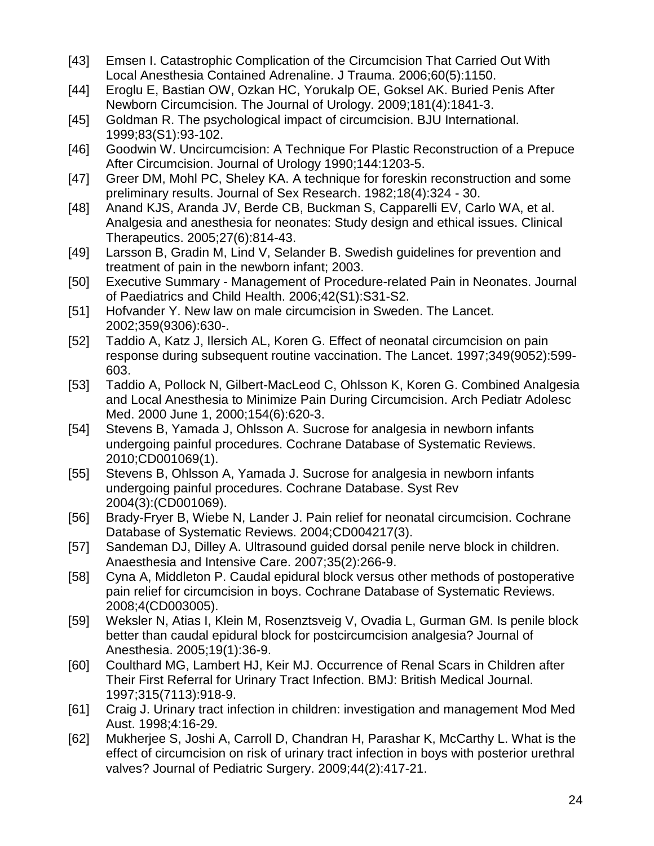- [43] Emsen I. Catastrophic Complication of the Circumcision That Carried Out With Local Anesthesia Contained Adrenaline. J Trauma. 2006;60(5):1150.
- [44] Eroglu E, Bastian OW, Ozkan HC, Yorukalp OE, Goksel AK. Buried Penis After Newborn Circumcision. The Journal of Urology. 2009;181(4):1841-3.
- [45] Goldman R. The psychological impact of circumcision. BJU International. 1999;83(S1):93-102.
- [46] Goodwin W. Uncircumcision: A Technique For Plastic Reconstruction of a Prepuce After Circumcision. Journal of Urology 1990;144:1203-5.
- [47] Greer DM, Mohl PC, Sheley KA. A technique for foreskin reconstruction and some preliminary results. Journal of Sex Research. 1982;18(4):324 - 30.
- [48] Anand KJS, Aranda JV, Berde CB, Buckman S, Capparelli EV, Carlo WA, et al. Analgesia and anesthesia for neonates: Study design and ethical issues. Clinical Therapeutics. 2005;27(6):814-43.
- [49] Larsson B, Gradin M, Lind V, Selander B. Swedish guidelines for prevention and treatment of pain in the newborn infant; 2003.
- [50] Executive Summary Management of Procedure-related Pain in Neonates. Journal of Paediatrics and Child Health. 2006;42(S1):S31-S2.
- [51] Hofvander Y. New law on male circumcision in Sweden. The Lancet. 2002;359(9306):630-.
- [52] Taddio A, Katz J, Ilersich AL, Koren G. Effect of neonatal circumcision on pain response during subsequent routine vaccination. The Lancet. 1997;349(9052):599- 603.
- [53] Taddio A, Pollock N, Gilbert-MacLeod C, Ohlsson K, Koren G. Combined Analgesia and Local Anesthesia to Minimize Pain During Circumcision. Arch Pediatr Adolesc Med. 2000 June 1, 2000;154(6):620-3.
- [54] Stevens B, Yamada J, Ohlsson A. Sucrose for analgesia in newborn infants undergoing painful procedures. Cochrane Database of Systematic Reviews. 2010;CD001069(1).
- [55] Stevens B, Ohlsson A, Yamada J. Sucrose for analgesia in newborn infants undergoing painful procedures. Cochrane Database. Syst Rev 2004(3):(CD001069).
- [56] Brady-Fryer B, Wiebe N, Lander J. Pain relief for neonatal circumcision. Cochrane Database of Systematic Reviews. 2004;CD004217(3).
- [57] Sandeman DJ, Dilley A. Ultrasound guided dorsal penile nerve block in children. Anaesthesia and Intensive Care. 2007;35(2):266-9.
- [58] Cyna A, Middleton P. Caudal epidural block versus other methods of postoperative pain relief for circumcision in boys. Cochrane Database of Systematic Reviews. 2008;4(CD003005).
- [59] Weksler N, Atias I, Klein M, Rosenztsveig V, Ovadia L, Gurman GM. Is penile block better than caudal epidural block for postcircumcision analgesia? Journal of Anesthesia. 2005;19(1):36-9.
- [60] Coulthard MG, Lambert HJ, Keir MJ. Occurrence of Renal Scars in Children after Their First Referral for Urinary Tract Infection. BMJ: British Medical Journal. 1997;315(7113):918-9.
- [61] Craig J. Urinary tract infection in children: investigation and management Mod Med Aust. 1998;4:16-29.
- [62] Mukherjee S, Joshi A, Carroll D, Chandran H, Parashar K, McCarthy L. What is the effect of circumcision on risk of urinary tract infection in boys with posterior urethral valves? Journal of Pediatric Surgery. 2009;44(2):417-21.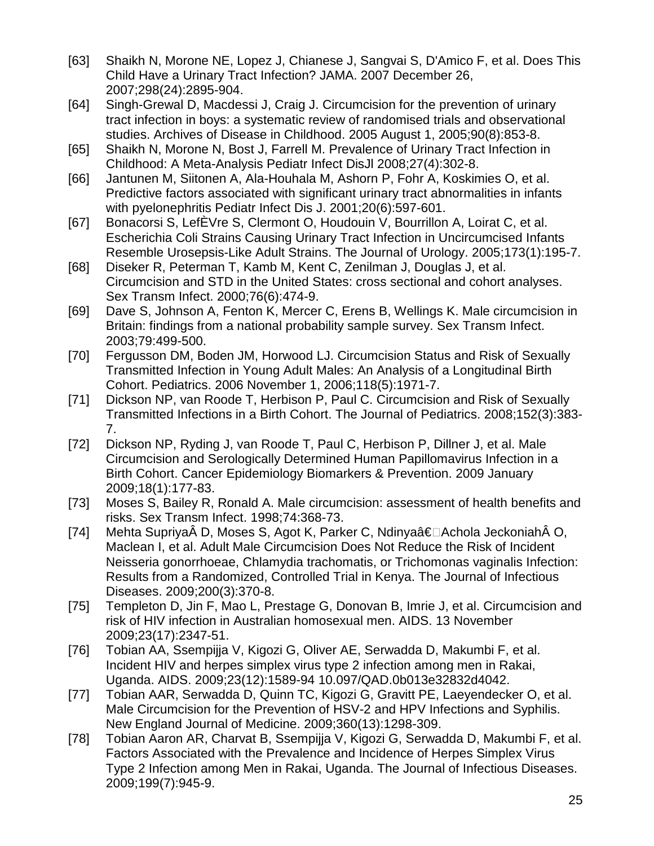- [63] Shaikh N, Morone NE, Lopez J, Chianese J, Sangvai S, D'Amico F, et al. Does This Child Have a Urinary Tract Infection? JAMA. 2007 December 26, 2007;298(24):2895-904.
- [64] Singh-Grewal D, Macdessi J, Craig J. Circumcision for the prevention of urinary tract infection in boys: a systematic review of randomised trials and observational studies. Archives of Disease in Childhood. 2005 August 1, 2005;90(8):853-8.
- [65] Shaikh N, Morone N, Bost J, Farrell M. Prevalence of Urinary Tract Infection in Childhood: A Meta-Analysis Pediatr Infect DisJl 2008;27(4):302-8.
- [66] Jantunen M, Siitonen A, Ala-Houhala M, Ashorn P, Fohr A, Koskimies O, et al. Predictive factors associated with significant urinary tract abnormalities in infants with pyelonephritis Pediatr Infect Dis J. 2001;20(6):597-601.
- [67] Bonacorsi S, LefÈVre S, Clermont O, Houdouin V, Bourrillon A, Loirat C, et al. Escherichia Coli Strains Causing Urinary Tract Infection in Uncircumcised Infants Resemble Urosepsis-Like Adult Strains. The Journal of Urology. 2005;173(1):195-7.
- [68] Diseker R, Peterman T, Kamb M, Kent C, Zenilman J, Douglas J, et al. Circumcision and STD in the United States: cross sectional and cohort analyses. Sex Transm Infect. 2000;76(6):474-9.
- [69] Dave S, Johnson A, Fenton K, Mercer C, Erens B, Wellings K. Male circumcision in Britain: findings from a national probability sample survey. Sex Transm Infect. 2003;79:499-500.
- [70] Fergusson DM, Boden JM, Horwood LJ. Circumcision Status and Risk of Sexually Transmitted Infection in Young Adult Males: An Analysis of a Longitudinal Birth Cohort. Pediatrics. 2006 November 1, 2006;118(5):1971-7.
- [71] Dickson NP, van Roode T, Herbison P, Paul C. Circumcision and Risk of Sexually Transmitted Infections in a Birth Cohort. The Journal of Pediatrics. 2008;152(3):383- 7.
- [72] Dickson NP, Ryding J, van Roode T, Paul C, Herbison P, Dillner J, et al. Male Circumcision and Serologically Determined Human Papillomavirus Infection in a Birth Cohort. Cancer Epidemiology Biomarkers & Prevention. 2009 January 2009;18(1):177-83.
- [73] Moses S, Bailey R, Ronald A. Male circumcision: assessment of health benefits and risks. Sex Transm Infect. 1998;74:368-73.
- [74] Mehta Supriya D, Moses S, Agot K, Parker C, Ndinya†Achola Jeckoniah O, Maclean I, et al. Adult Male Circumcision Does Not Reduce the Risk of Incident Neisseria gonorrhoeae, Chlamydia trachomatis, or Trichomonas vaginalis Infection: Results from a Randomized, Controlled Trial in Kenya. The Journal of Infectious Diseases. 2009;200(3):370-8.
- [75] Templeton D, Jin F, Mao L, Prestage G, Donovan B, Imrie J, et al. Circumcision and risk of HIV infection in Australian homosexual men. AIDS. 13 November 2009;23(17):2347-51.
- [76] Tobian AA, Ssempijja V, Kigozi G, Oliver AE, Serwadda D, Makumbi F, et al. Incident HIV and herpes simplex virus type 2 infection among men in Rakai, Uganda. AIDS. 2009;23(12):1589-94 10.097/QAD.0b013e32832d4042.
- [77] Tobian AAR, Serwadda D, Quinn TC, Kigozi G, Gravitt PE, Laeyendecker O, et al. Male Circumcision for the Prevention of HSV-2 and HPV Infections and Syphilis. New England Journal of Medicine. 2009;360(13):1298-309.
- [78] Tobian Aaron AR, Charvat B, Ssempijja V, Kigozi G, Serwadda D, Makumbi F, et al. Factors Associated with the Prevalence and Incidence of Herpes Simplex Virus Type 2 Infection among Men in Rakai, Uganda. The Journal of Infectious Diseases. 2009;199(7):945-9.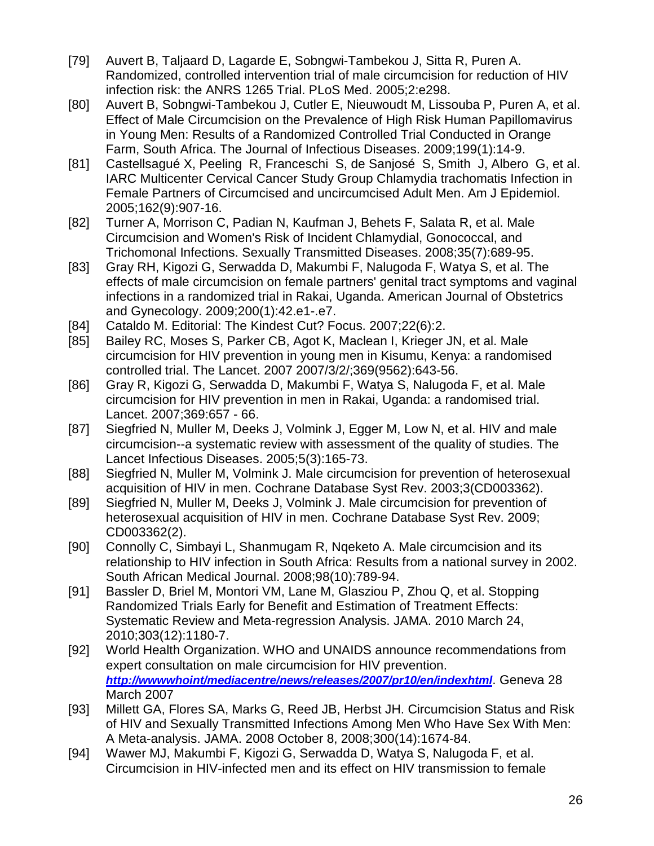- [79] Auvert B, Taljaard D, Lagarde E, Sobngwi-Tambekou J, Sitta R, Puren A. Randomized, controlled intervention trial of male circumcision for reduction of HIV infection risk: the ANRS 1265 Trial. PLoS Med. 2005;2:e298.
- [80] Auvert B, Sobngwi-Tambekou J, Cutler E, Nieuwoudt M, Lissouba P, Puren A, et al. Effect of Male Circumcision on the Prevalence of High Risk Human Papillomavirus in Young Men: Results of a Randomized Controlled Trial Conducted in Orange Farm, South Africa. The Journal of Infectious Diseases. 2009;199(1):14-9.
- [81] Castellsagué X, Peeling R, Franceschi S, de Sanjosé S, Smith J, Albero G, et al. IARC Multicenter Cervical Cancer Study Group Chlamydia trachomatis Infection in Female Partners of Circumcised and uncircumcised Adult Men. Am J Epidemiol. 2005;162(9):907-16.
- [82] Turner A, Morrison C, Padian N, Kaufman J, Behets F, Salata R, et al. Male Circumcision and Women's Risk of Incident Chlamydial, Gonococcal, and Trichomonal Infections. Sexually Transmitted Diseases. 2008;35(7):689-95.
- [83] Gray RH, Kigozi G, Serwadda D, Makumbi F, Nalugoda F, Watya S, et al. The effects of male circumcision on female partners' genital tract symptoms and vaginal infections in a randomized trial in Rakai, Uganda. American Journal of Obstetrics and Gynecology. 2009;200(1):42.e1-.e7.
- [84] Cataldo M. Editorial: The Kindest Cut? Focus. 2007;22(6):2.
- [85] Bailey RC, Moses S, Parker CB, Agot K, Maclean I, Krieger JN, et al. Male circumcision for HIV prevention in young men in Kisumu, Kenya: a randomised controlled trial. The Lancet. 2007 2007/3/2/;369(9562):643-56.
- [86] Gray R, Kigozi G, Serwadda D, Makumbi F, Watya S, Nalugoda F, et al. Male circumcision for HIV prevention in men in Rakai, Uganda: a randomised trial. Lancet. 2007;369:657 - 66.
- [87] Siegfried N, Muller M, Deeks J, Volmink J, Egger M, Low N, et al. HIV and male circumcision--a systematic review with assessment of the quality of studies. The Lancet Infectious Diseases. 2005;5(3):165-73.
- [88] Siegfried N, Muller M, Volmink J. Male circumcision for prevention of heterosexual acquisition of HIV in men. Cochrane Database Syst Rev. 2003;3(CD003362).
- [89] Siegfried N, Muller M, Deeks J, Volmink J. Male circumcision for prevention of heterosexual acquisition of HIV in men. Cochrane Database Syst Rev. 2009; CD003362(2).
- [90] Connolly C, Simbayi L, Shanmugam R, Nqeketo A. Male circumcision and its relationship to HIV infection in South Africa: Results from a national survey in 2002. South African Medical Journal. 2008;98(10):789-94.
- [91] Bassler D, Briel M, Montori VM, Lane M, Glasziou P, Zhou Q, et al. Stopping Randomized Trials Early for Benefit and Estimation of Treatment Effects: Systematic Review and Meta-regression Analysis. JAMA. 2010 March 24, 2010;303(12):1180-7.
- [92] World Health Organization. WHO and UNAIDS announce recommendations from expert consultation on male circumcision for HIV prevention. **http://wwwwhoint/mediacentre/news/releases/2007/pr10/en/indexhtml**. Geneva 28 March 2007
- [93] Millett GA, Flores SA, Marks G, Reed JB, Herbst JH. Circumcision Status and Risk of HIV and Sexually Transmitted Infections Among Men Who Have Sex With Men: A Meta-analysis. JAMA. 2008 October 8, 2008;300(14):1674-84.
- [94] Wawer MJ, Makumbi F, Kigozi G, Serwadda D, Watya S, Nalugoda F, et al. Circumcision in HIV-infected men and its effect on HIV transmission to female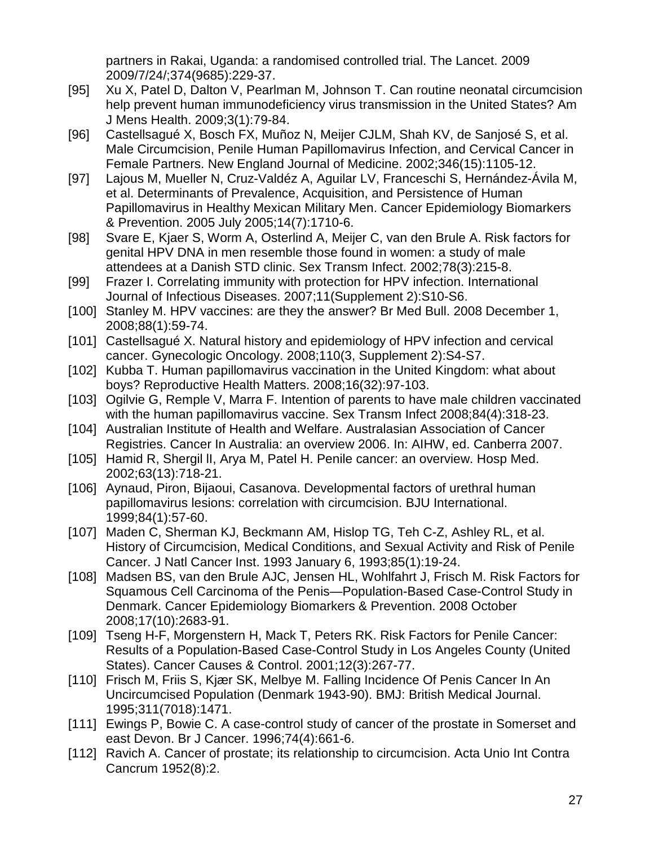partners in Rakai, Uganda: a randomised controlled trial. The Lancet. 2009 2009/7/24/;374(9685):229-37.

- [95] Xu X, Patel D, Dalton V, Pearlman M, Johnson T. Can routine neonatal circumcision help prevent human immunodeficiency virus transmission in the United States? Am J Mens Health. 2009;3(1):79-84.
- [96] Castellsagué X, Bosch FX, Muñoz N, Meijer CJLM, Shah KV, de Sanjosé S, et al. Male Circumcision, Penile Human Papillomavirus Infection, and Cervical Cancer in Female Partners. New England Journal of Medicine. 2002;346(15):1105-12.
- [97] Lajous M, Mueller N, Cruz-Valdéz A, Aguilar LV, Franceschi S, Hernández-Ávila M, et al. Determinants of Prevalence, Acquisition, and Persistence of Human Papillomavirus in Healthy Mexican Military Men. Cancer Epidemiology Biomarkers & Prevention. 2005 July 2005;14(7):1710-6.
- [98] Svare E, Kjaer S, Worm A, Osterlind A, Meijer C, van den Brule A. Risk factors for genital HPV DNA in men resemble those found in women: a study of male attendees at a Danish STD clinic. Sex Transm Infect. 2002;78(3):215-8.
- [99] Frazer I. Correlating immunity with protection for HPV infection. International Journal of Infectious Diseases. 2007;11(Supplement 2):S10-S6.
- [100] Stanley M. HPV vaccines: are they the answer? Br Med Bull. 2008 December 1, 2008;88(1):59-74.
- [101] Castellsagué X. Natural history and epidemiology of HPV infection and cervical cancer. Gynecologic Oncology. 2008;110(3, Supplement 2):S4-S7.
- [102] Kubba T. Human papillomavirus vaccination in the United Kingdom: what about boys? Reproductive Health Matters. 2008;16(32):97-103.
- [103] Ogilvie G, Remple V, Marra F. Intention of parents to have male children vaccinated with the human papillomavirus vaccine. Sex Transm Infect 2008;84(4):318-23.
- [104] Australian Institute of Health and Welfare. Australasian Association of Cancer Registries. Cancer In Australia: an overview 2006. In: AIHW, ed. Canberra 2007.
- [105] Hamid R, Shergil II, Arya M, Patel H. Penile cancer: an overview. Hosp Med. 2002;63(13):718-21.
- [106] Aynaud, Piron, Bijaoui, Casanova. Developmental factors of urethral human papillomavirus lesions: correlation with circumcision. BJU International. 1999;84(1):57-60.
- [107] Maden C, Sherman KJ, Beckmann AM, Hislop TG, Teh C-Z, Ashley RL, et al. History of Circumcision, Medical Conditions, and Sexual Activity and Risk of Penile Cancer. J Natl Cancer Inst. 1993 January 6, 1993;85(1):19-24.
- [108] Madsen BS, van den Brule AJC, Jensen HL, Wohlfahrt J, Frisch M. Risk Factors for Squamous Cell Carcinoma of the Penis—Population-Based Case-Control Study in Denmark. Cancer Epidemiology Biomarkers & Prevention. 2008 October 2008;17(10):2683-91.
- [109] Tseng H-F, Morgenstern H, Mack T, Peters RK. Risk Factors for Penile Cancer: Results of a Population-Based Case-Control Study in Los Angeles County (United States). Cancer Causes & Control. 2001;12(3):267-77.
- [110] Frisch M, Friis S, Kjær SK, Melbye M. Falling Incidence Of Penis Cancer In An Uncircumcised Population (Denmark 1943-90). BMJ: British Medical Journal. 1995;311(7018):1471.
- [111] Ewings P, Bowie C. A case-control study of cancer of the prostate in Somerset and east Devon. Br J Cancer. 1996;74(4):661-6.
- [112] Ravich A. Cancer of prostate; its relationship to circumcision. Acta Unio Int Contra Cancrum 1952(8):2.